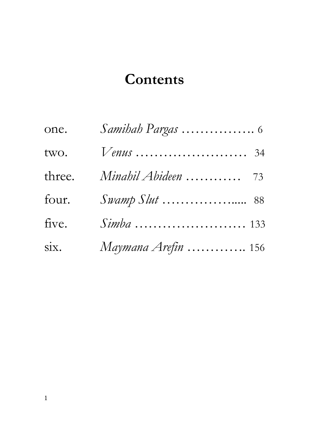## **Contents**

| one.             |                     |  |
|------------------|---------------------|--|
| two.             |                     |  |
| three.           |                     |  |
| four.            |                     |  |
| five.            |                     |  |
| $\dot{\rm six}.$ | Maymana Arefin  156 |  |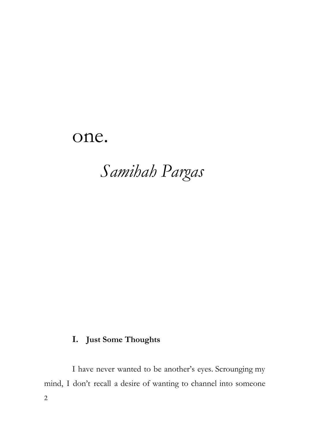### one.

## *Samihah Pargas*

#### **I. Just Some Thoughts**

I have never wanted to be another's eyes. Scrounging my mind, I don't recall a desire of wanting to channel into someone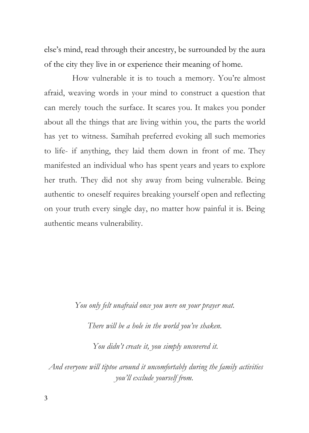else's mind, read through their ancestry, be surrounded by the aura of the city they live in or experience their meaning of home.

How vulnerable it is to touch a memory. You're almost afraid, weaving words in your mind to construct a question that can merely touch the surface. It scares you. It makes you ponder about all the things that are living within you, the parts the world has yet to witness. Samihah preferred evoking all such memories to life- if anything, they laid them down in front of me. They manifested an individual who has spent years and years to explore her truth. They did not shy away from being vulnerable. Being authentic to oneself requires breaking yourself open and reflecting on your truth every single day, no matter how painful it is. Being authentic means vulnerability.

*You only felt unafraid once you were on your prayer mat.*

*There will be a hole in the world you've shaken.*

*You didn't create it, you simply uncovered it.*

*And everyone will tiptoe around it uncomfortably during the family activities you'll exclude yourself from.*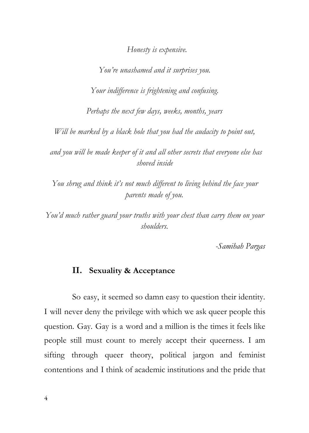*Honesty is expensive.*

*You're unashamed and it surprises you.*

*Your indif erence is frightening and confusing.*

*Perhaps the next few days, weeks, months, years*

*Will be marked by a black hole that you had the audacity to point out,*

*and you will be made keeper of it and all other secrets that everyone else has shoved inside*

*You shrug and think it's not much dif erent to living behind the face your parents made of you.*

*You'd much rather guard your truths with your chest than carry them on your shoulders.*

*-Samihah Pargas*

#### **II. Sexuality & Acceptance**

So easy, it seemed so damn easy to question their identity. I will never deny the privilege with which we ask queer people this question. Gay. Gay is a word and a million is the times it feels like people still must count to merely accept their queerness. I am sifting through queer theory, political jargon and feminist contentions and I think of academic institutions and the pride that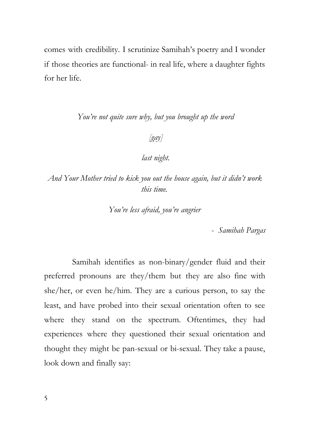comes with credibility. I scrutinize Samihah's poetry and I wonder if those theories are functional- in real life, where a daughter fights for her life.

*You're not quite sure why, but you brought up the word*

*[gay]*

*last night.*

*And Your Mother tried to kick you out the house again, but it didn't work this time.*

*You're less afraid, you're angrier*

- *Samihah Pargas*

Samihah identifies as non-binary/gender fluid and their preferred pronouns are they/them but they are also fine with she/her, or even he/him. They are a curious person, to say the least, and have probed into their sexual orientation often to see where they stand on the spectrum. Oftentimes, they had experiences where they questioned their sexual orientation and thought they might be pan-sexual or bi-sexual. They take a pause, look down and finally say: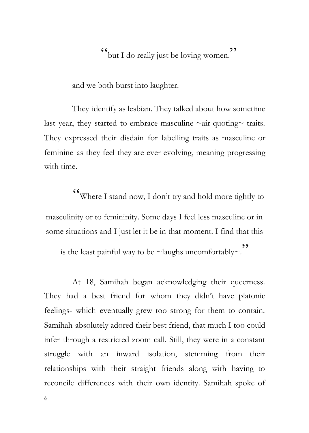" but <sup>I</sup> do really just be loving women."

and we both burst into laughter.

They identify as lesbian. They talked about how sometime last year, they started to embrace masculine  $\sim$ air quoting $\sim$  traits. They expressed their disdain for labelling traits as masculine or feminine as they feel they are ever evolving, meaning progressing with time.

" Where I stand now, I don't try and hold more tightly to masculinity or to femininity. Some days I feel less masculine or in some situations and I just let it be in that moment. I find that this

is the least painful way to be ~laughs uncomfortably~."

At 18, Samihah began acknowledging their queerness. They had a best friend for whom they didn't have platonic feelings- which eventually grew too strong for them to contain. Samihah absolutely adored their best friend, that much I too could infer through a restricted zoom call. Still, they were in a constant struggle with an inward isolation, stemming from their relationships with their straight friends along with having to reconcile differences with their own identity. Samihah spoke of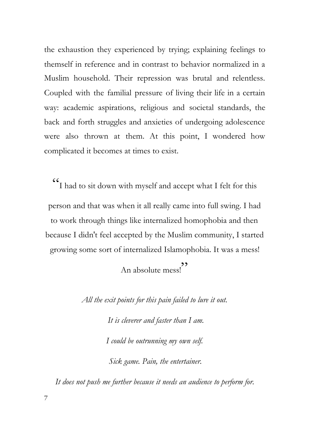the exhaustion they experienced by trying; explaining feelings to themself in reference and in contrast to behavior normalized in a Muslim household. Their repression was brutal and relentless. Coupled with the familial pressure of living their life in a certain way: academic aspirations, religious and societal standards, the back and forth struggles and anxieties of undergoing adolescence were also thrown at them. At this point, I wondered how complicated it becomes at times to exist.

" I had to sit down with myself and accept what I felt for this person and that was when it all really came into full swing. I had to work through things like internalized homophobia and then because I didn't feel accepted by the Muslim community, I started growing some sort of internalized Islamophobia. It was a mess!

An absolute mess!"

*All the exit points for this pain failed to lure it out.*

*It is cleverer and faster than I am. I could be outrunning my own self. Sick game. Pain, the entertainer.*

*It does not push me further because it needs an audience to perform for.*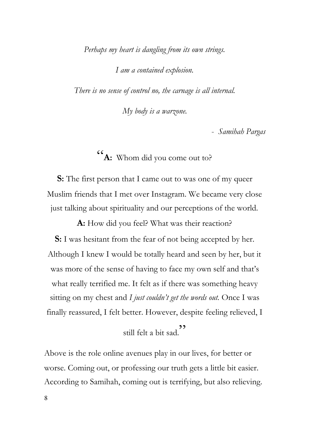*Perhaps my heart is dangling from its own strings.*

*I am a contained explosion.*

*There is no sense of control no, the carnage is all internal.*

*My body is a warzone.*

- *Samihah Pargas*

"**<sup>A</sup>:** Whom did you come out to?

**S:** The first person that I came out to was one of my queer Muslim friends that I met over Instagram. We became very close just talking about spirituality and our perceptions of the world.

**A:** How did you feel? What was their reaction?

**S:** I was hesitant from the fear of not being accepted by her. Although I knew I would be totally heard and seen by her, but it was more of the sense of having to face my own self and that's what really terrified me. It felt as if there was something heavy sitting on my chest and *I just couldn't get the words out.* Once I was finally reassured, I felt better. However, despite feeling relieved, I

still felt <sup>a</sup> bit sad."

Above is the role online avenues play in our lives, for better or worse. Coming out, or professing our truth gets a little bit easier. According to Samihah, coming out is terrifying, but also relieving.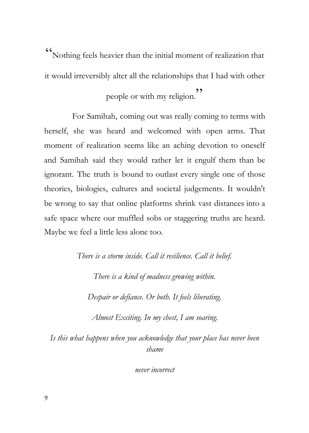$\zeta$ Nothing feels heavier than the initial moment of realization that it would irreversibly alter all the relationships that I had with other

people or with my religion."

For Samihah, coming out was really coming to terms with herself, she was heard and welcomed with open arms. That moment of realization seems like an aching devotion to oneself and Samihah said they would rather let it engulf them than be ignorant. The truth is bound to outlast every single one of those theories, biologies, cultures and societal judgements. It wouldn't be wrong to say that online platforms shrink vast distances into a safe space where our muffled sobs or staggering truths are heard. Maybe we feel a little less alone too.

*There is a storm inside. Call it resilience. Call it belief.*

*There is a kind of madness growing within.*

*Despair or defiance. Or both. It feels liberating.*

*Almost Exciting. In my chest, I am soaring.*

*Is this what happens when you acknowledge that your place has never been shame*

*never incorrect*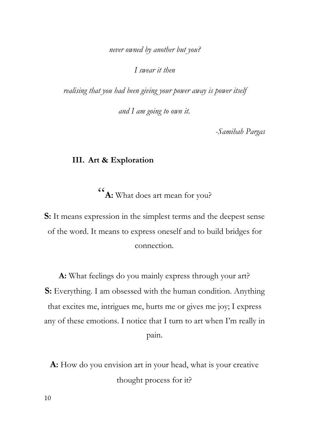*never owned by another but you?*

*I swear it then*

*realising that you had been giving your power away is power itself*

*and I am going to own it.*

*-Samihah Pargas*

#### **III. Art & Exploration**

"**<sup>A</sup>:** What does art mean for you?

**S:** It means expression in the simplest terms and the deepest sense of the word. It means to express oneself and to build bridges for connection.

**A:** What feelings do you mainly express through your art? **S:** Everything. I am obsessed with the human condition. Anything that excites me, intrigues me, hurts me or gives me joy; I express any of these emotions. I notice that I turn to art when I'm really in pain.

**A:** How do you envision art in your head, what is your creative thought process for it?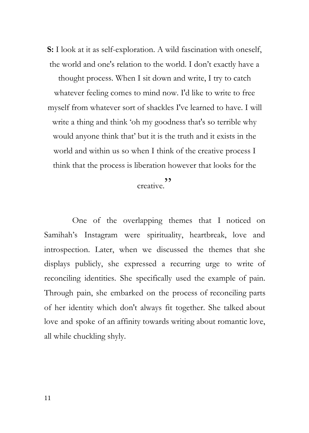**S:** I look at it as self-exploration. A wild fascination with oneself, the world and one's relation to the world. I don't exactly have a thought process. When I sit down and write, I try to catch whatever feeling comes to mind now. I'd like to write to free myself from whatever sort of shackles I've learned to have. I will write a thing and think 'oh my goodness that's so terrible why would anyone think that' but it is the truth and it exists in the world and within us so when I think of the creative process I think that the process is liberation however that looks for the

## creative<sup>"</sup>

One of the overlapping themes that I noticed on Samihah's Instagram were spirituality, heartbreak, love and introspection. Later, when we discussed the themes that she displays publicly, she expressed a recurring urge to write of reconciling identities. She specifically used the example of pain. Through pain, she embarked on the process of reconciling parts of her identity which don't always fit together. She talked about love and spoke of an affinity towards writing about romantic love, all while chuckling shyly.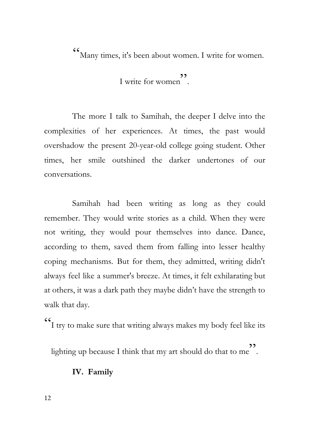$\zeta$ Many times, it's been about women. I write for women.

I write for women.

The more I talk to Samihah, the deeper I delve into the complexities of her experiences. At times, the past would overshadow the present 20-year-old college going student. Other times, her smile outshined the darker undertones of our conversations.

Samihah had been writing as long as they could remember. They would write stories as a child. When they were not writing, they would pour themselves into dance. Dance, according to them, saved them from falling into lesser healthy coping mechanisms. But for them, they admitted, writing didn't always feel like a summer's breeze. At times, it felt exhilarating but at others, it was a dark path they maybe didn't have the strength to walk that day.

" I try to make sure that writing always makes my body feel like its

lighting up because I think that my art should do that to me.

**IV. Family**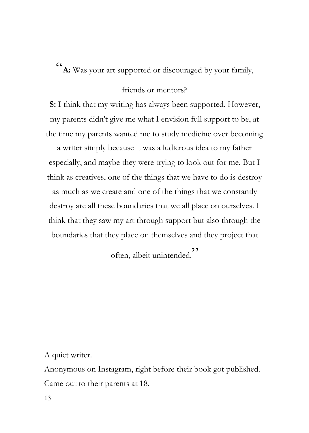" **A:** Was your art supported or discouraged by your family,

friends or mentors?

**S:** I think that my writing has always been supported. However, my parents didn't give me what I envision full support to be, at the time my parents wanted me to study medicine over becoming

a writer simply because it was a ludicrous idea to my father especially, and maybe they were trying to look out for me. But I think as creatives, one of the things that we have to do is destroy as much as we create and one of the things that we constantly destroy are all these boundaries that we all place on ourselves. I think that they saw my art through support but also through the boundaries that they place on themselves and they project that

often, albeit unintended."

A quiet writer.

Anonymous on Instagram, right before their book got published. Came out to their parents at 18.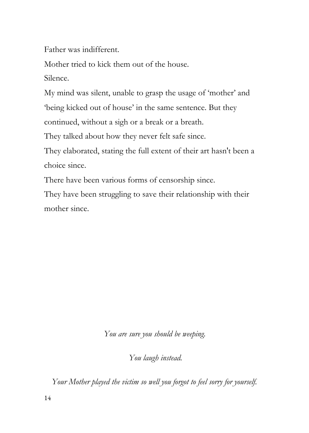Father was indifferent.

Mother tried to kick them out of the house.

Silence.

My mind was silent, unable to grasp the usage of 'mother' and 'being kicked out of house' in the same sentence. But they continued, without a sigh or a break or a breath.

They talked about how they never felt safe since.

They elaborated, stating the full extent of their art hasn't been a choice since.

There have been various forms of censorship since.

They have been struggling to save their relationship with their mother since.

*You are sure you should be weeping.*

*You laugh instead.*

*Your Mother played the victim so well you forgot to feel sorry for yourself.*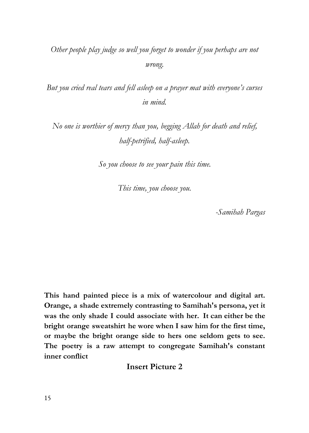*Other people play judge so well you forget to wonder if you perhaps are not wrong.*

*But you cried real tears and fell asleep on a prayer mat with everyone's curses in mind.*

*No one is worthier of mercy than you, begging Allah for death and relief, half-petrified, half-asleep.*

*So you choose to see your pain this time.*

*This time, you choose you.*

*-Samihah Pargas*

**This hand painted piece is a mix of watercolour and digital art. Orange, a shade extremely contrasting to Samihah's persona, yet it was the only shade I could associate with her. It can either be the bright orange sweatshirt he wore when I saw him for the first time, or maybe the bright orange side to hers one seldom gets to see. The poetry is a raw attempt to congregate Samihah's constant inner conflict**

**Insert Picture 2**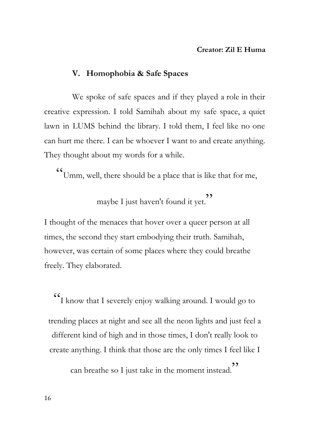#### **Creator: Zil E Huma**

#### **V. Homophobia & Safe Spaces**

We spoke of safe spaces and if they played a role in their creative expression. I told Samihah about my safe space, a quiet lawn in LUMS behind the library. I told them, I feel like no one can hurt me there. I can be whoever I want to and create anything. They thought about my words for a while.

" Umm, well, there should be a place that is like that for me,

maybe I just haven't found it yet."

I thought of the menaces that hover over a queer person at all times, the second they start embodying their truth. Samihah, however, was certain of some places where they could breathe freely. They elaborated.

" I know that I severely enjoy walking around. I would go to trending places at night and see all the neon lights and just feel a different kind of high and in those times, I don't really look to create anything. I think that those are the only times I feel like I

can breathe so <sup>I</sup> just take in the moment instead."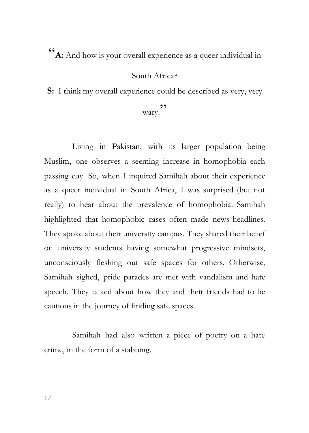"**<sup>A</sup>:** And how is your overall experience as <sup>a</sup> queer individual in

#### South Africa?

**S:** I think my overall experience could be described as very, very

## wary."

Living in Pakistan, with its larger population being Muslim, one observes a seeming increase in homophobia each passing day. So, when I inquired Samihah about their experience as a queer individual in South Africa, I was surprised (but not really) to hear about the prevalence of homophobia. Samihah highlighted that homophobic cases often made news headlines. They spoke about their university campus. They shared their belief on university students having somewhat progressive mindsets, unconsciously fleshing out safe spaces for others. Otherwise, Samihah sighed, pride parades are met with vandalism and hate speech. They talked about how they and their friends had to be cautious in the journey of finding safe spaces.

Samihah had also written a piece of poetry on a hate crime, in the form of a stabbing.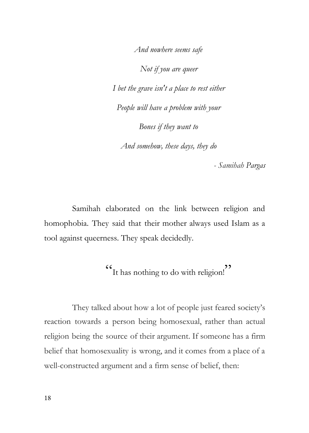*And nowhere seems safe*

*Not if you are queer I bet the grave isn't a place to rest either People will have a problem with your Bones if they want to And somehow, these days, they do*

*- Samihah Pargas*

Samihah elaborated on the link between religion and homophobia. They said that their mother always used Islam as a tool against queerness. They speak decidedly.

<sup>22</sup>It has nothing to do with religion!

They talked about how a lot of people just feared society's reaction towards a person being homosexual, rather than actual religion being the source of their argument. If someone has a firm belief that homosexuality is wrong, and it comes from a place of a well-constructed argument and a firm sense of belief, then: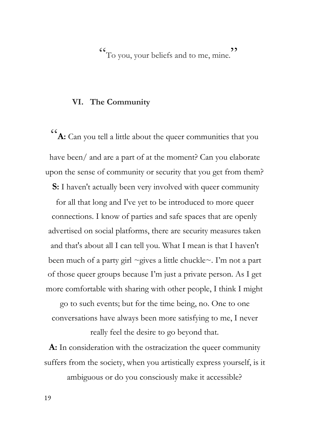" To you, your beliefs and to me, mine."

#### **VI. The Community**

"**<sup>A</sup>:** Can you tell <sup>a</sup> little about the queer communities that you have been/ and are a part of at the moment? Can you elaborate upon the sense of community or security that you get from them?

**S:** I haven't actually been very involved with queer community

for all that long and I've yet to be introduced to more queer connections. I know of parties and safe spaces that are openly advertised on social platforms, there are security measures taken and that's about all I can tell you. What I mean is that I haven't been much of a party girl *~*gives a little chuckle~*.* I'm not a part of those queer groups because I'm just a private person. As I get more comfortable with sharing with other people, I think I might

go to such events; but for the time being, no. One to one conversations have always been more satisfying to me, I never really feel the desire to go beyond that.

**A:** In consideration with the ostracization the queer community suffers from the society, when you artistically express yourself, is it

ambiguous or do you consciously make it accessible?

19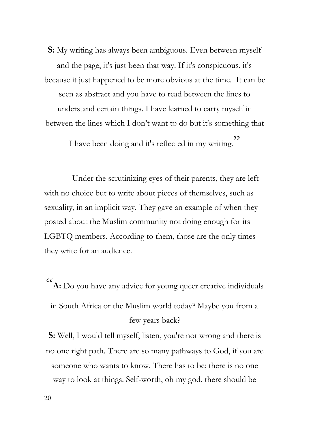**S:** My writing has always been ambiguous. Even between myself and the page, it's just been that way. If it's conspicuous, it's because it just happened to be more obvious at the time. It can be seen as abstract and you have to read between the lines to understand certain things. I have learned to carry myself in between the lines which I don't want to do but it's something that

I have been doing and it's reflected in my writing."

Under the scrutinizing eyes of their parents, they are left with no choice but to write about pieces of themselves, such as sexuality, in an implicit way. They gave an example of when they posted about the Muslim community not doing enough for its LGBTQ members. According to them, those are the only times they write for an audience.

"**<sup>A</sup>:** Do you have any advice for young queer creative individuals in South Africa or the Muslim world today? Maybe you from a few years back?

**S:** Well, I would tell myself, listen, you're not wrong and there is no one right path. There are so many pathways to God, if you are someone who wants to know. There has to be; there is no one way to look at things. Self-worth, oh my god, there should be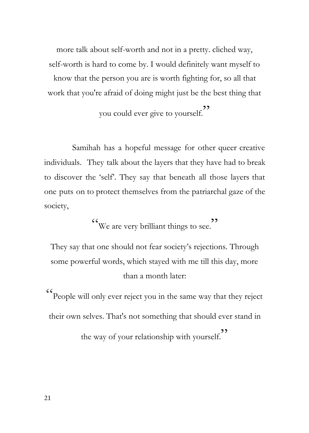more talk about self-worth and not in a pretty. cliched way, self-worth is hard to come by. I would definitely want myself to know that the person you are is worth fighting for, so all that work that you're afraid of doing might just be the best thing that

you could ever give to yourself."

Samihah has a hopeful message for other queer creative individuals. They talk about the layers that they have had to break to discover the 'self'. They say that beneath all those layers that one puts on to protect themselves from the patriarchal gaze of the society,

"
We are very brilliant things to see."

They say that one should not fear society's rejections. Through some powerful words, which stayed with me till this day, more than a month later:

" People will only ever reject you in the same way that they reject their own selves. That's not something that should ever stand in the way of your relationship with yourself."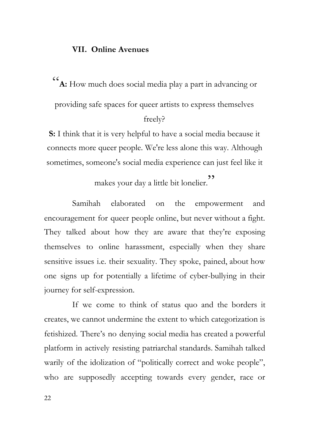#### **VII. Online Avenues**

 $\zeta$   $\zeta$ **A:** How much does social media play a part in advancing or providing safe spaces for queer artists to express themselves freely?

**S:** I think that it is very helpful to have a social media because it connects more queer people. We're less alone this way. Although sometimes, someone's social media experience can just feel like it

makes your day a little bit lonelier.

Samihah elaborated on the empowerment and encouragement for queer people online, but never without a fight. They talked about how they are aware that they're exposing themselves to online harassment, especially when they share sensitive issues i.e. their sexuality. They spoke, pained, about how one signs up for potentially a lifetime of cyber-bullying in their journey for self-expression.

If we come to think of status quo and the borders it creates, we cannot undermine the extent to which categorization is fetishized. There's no denying social media has created a powerful platform in actively resisting patriarchal standards. Samihah talked warily of the idolization of "politically correct and woke people", who are supposedly accepting towards every gender, race or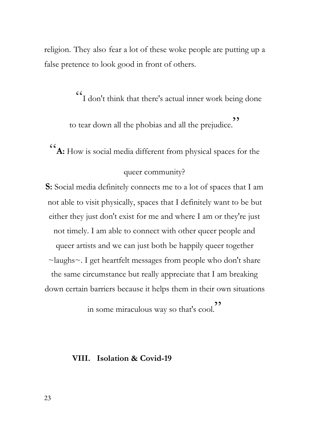religion. They also fear a lot of these woke people are putting up a false pretence to look good in front of others.

" I don't think that there's actual inner work being done

to tear down all the phobias and all the prejudice."

"**<sup>A</sup>:** How is social media different from physical spaces for the

#### queer community?

**S:** Social media definitely connects me to a lot of spaces that I am not able to visit physically, spaces that I definitely want to be but either they just don't exist for me and where I am or they're just not timely. I am able to connect with other queer people and queer artists and we can just both be happily queer together ~laughs~. I get heartfelt messages from people who don't share the same circumstance but really appreciate that I am breaking down certain barriers because it helps them in their own situations

in some miraculous way so that's cool."

#### **VIII. Isolation & Covid-19**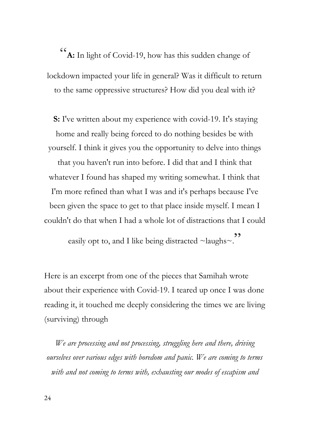" **A:** In light of Covid-19, how has this sudden change of lockdown impacted your life in general? Was it difficult to return to the same oppressive structures? How did you deal with it?

**S:** I've written about my experience with covid-19. It's staying home and really being forced to do nothing besides be with yourself. I think it gives you the opportunity to delve into things that you haven't run into before. I did that and I think that whatever I found has shaped my writing somewhat. I think that I'm more refined than what I was and it's perhaps because I've been given the space to get to that place inside myself. I mean I couldn't do that when I had a whole lot of distractions that I could

easily opt to, and I like being distracted ~laughs~."

Here is an excerpt from one of the pieces that Samihah wrote about their experience with Covid-19. I teared up once I was done reading it, it touched me deeply considering the times we are living (surviving) through

*We are processing and not processing, struggling here and there, driving ourselves over various edges with boredom and panic. We are coming to terms with and not coming to terms with, exhausting our modes of escapism and*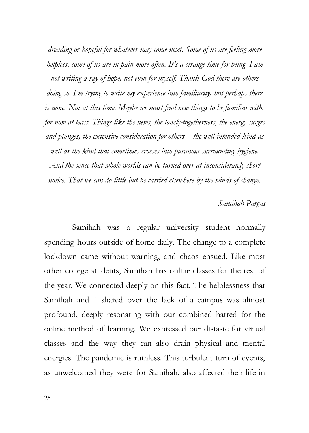*dreading or hopeful for whatever may come next. Some of us are feeling more helpless, some of us are in pain more often. It's a strange time for being. I am not writing a ray of hope, not even for myself. Thank God there are others doing so. I'm trying to write my experience into familiarity, but perhaps there is none. Not at this time. Maybe we must find new things to be familiar with, for now at least. Things like the news, the lonely-togetherness, the energy surges and plunges, the extensive consideration for others—the well intended kind as well as the kind that sometimes crosses into paranoia surrounding hygiene. And the sense that whole worlds can be turned over at inconsiderately short notice. That we can do little but be carried elsewhere by the winds of change.*

#### *-Samihah Pargas*

Samihah was a regular university student normally spending hours outside of home daily. The change to a complete lockdown came without warning, and chaos ensued. Like most other college students, Samihah has online classes for the rest of the year. We connected deeply on this fact. The helplessness that Samihah and I shared over the lack of a campus was almost profound, deeply resonating with our combined hatred for the online method of learning. We expressed our distaste for virtual classes and the way they can also drain physical and mental energies. The pandemic is ruthless. This turbulent turn of events, as unwelcomed they were for Samihah, also affected their life in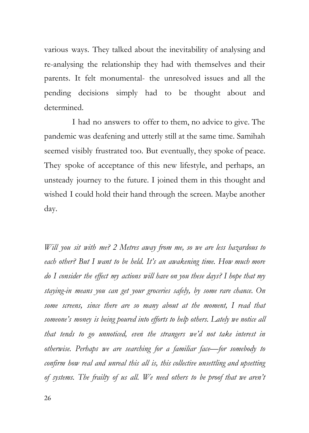various ways. They talked about the inevitability of analysing and re-analysing the relationship they had with themselves and their parents. It felt monumental- the unresolved issues and all the pending decisions simply had to be thought about and determined.

I had no answers to offer to them, no advice to give. The pandemic was deafening and utterly still at the same time. Samihah seemed visibly frustrated too. But eventually, they spoke of peace. They spoke of acceptance of this new lifestyle, and perhaps, an unsteady journey to the future. I joined them in this thought and wished I could hold their hand through the screen. Maybe another day.

*Will you sit with me? 2 Metres away from me, so we are less hazardous to each other? But I want to be held. It's an awakening time. How much more do I consider the ef ect my actions will have on you these days? I hope that my staying-in means you can get your groceries safely, by some rare chance. On some screens, since there are so many about at the moment, I read that someone's money is being poured into ef orts to help others. Lately we notice all that tends to go unnoticed, even the strangers we'd not take interest in otherwise. Perhaps we are searching for a familiar face—for somebody to confirm how real and unreal this all is, this collective unsettling and upsetting of systems. The frailty of us all. We need others to be proof that we aren't*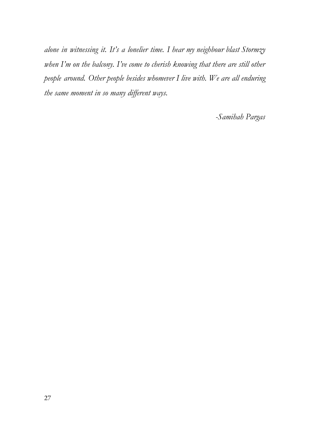*alone in witnessing it. It's a lonelier time. I hear my neighbour blast Stormzy when I'm on the balcony. I've come to cherish knowing that there are still other people around. Other people besides whomever I live with. We are all enduring the same moment in so many dif erent ways.*

*-Samihah Pargas*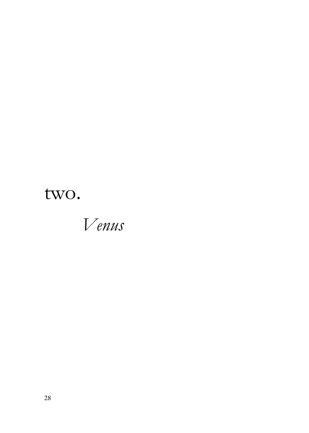# two.

 *Venus*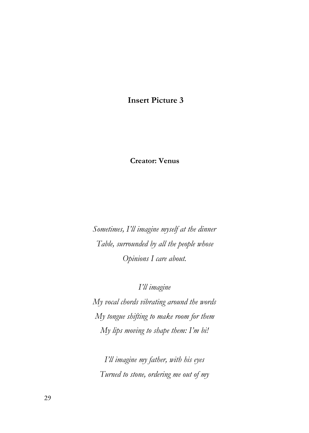#### **Insert Picture 3**

#### **Creator: Venus**

*Sometimes, I'll imagine myself at the dinner Table, surrounded by all the people whose Opinions I care about.*

*I'll imagine*

*My vocal chords vibrating around the words My tongue shifting to make room for them My lips moving to shape them: I'm bi!*

*I'll imagine my father, with his eyes Turned to stone, ordering me out of my*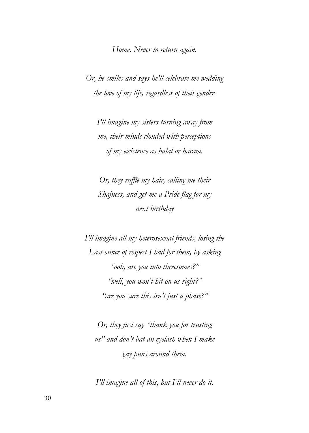*Home. Never to return again.*

*Or, he smiles and says he'll celebrate me wedding the love of my life, regardless of their gender.*

*I'll imagine my sisters turning away from me, their minds clouded with perceptions of my existence as halal or haram.*

*Or, they ruf le my hair, calling me their Shajness, and get me a Pride flag for my next birthday*

*I'll imagine all my heterosexual friends, losing the Last ounce of respect I had for them, by asking "ooh, are you into threesomes?" "well, you won't hit on us right?" "are you sure this isn't just a phase?"*

*Or, they just say "thank you for trusting us" and don't bat an eyelash when I make gay puns around them.*

*I'll imagine all of this, but I'll never do it.*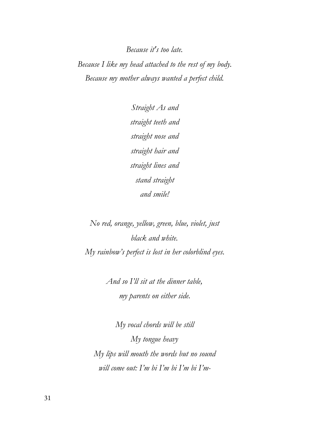#### *Because it's too late.*

*Because I like my head attached to the rest of my body. Because my mother always wanted a perfect child.*

> *Straight As and straight teeth and straight nose and straight hair and straight lines and stand straight and smile!*

*No red, orange, yellow, green, blue, violet, just black and white. My rainbow's perfect is lost in her colorblind eyes.*

> *And so I'll sit at the dinner table, my parents on either side.*

*My vocal chords will be still My tongue heavy My lips will mouth the words but no sound will come out: I'm bi I'm bi I'm bi I'm-*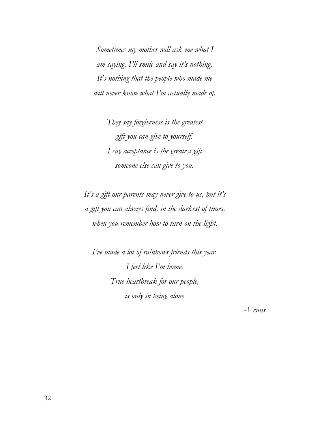*Sometimes my mother will ask me what I am saying. I'll smile and say it's nothing. It's nothing that the people who made me will never know what I'm actually made of.*

> *They say forgiveness is the greatest gift you can give to yourself. I say acceptance is the greatest gift someone else can give to you.*

*It's a gift our parents may never give to us, but it's a gift you can always find, in the darkest of times, when you remember how to turn on the light.*

*I've made a lot of rainbows friends this year. I feel like I'm home. True heartbreak for our people, is only in being alone*

*-Venus*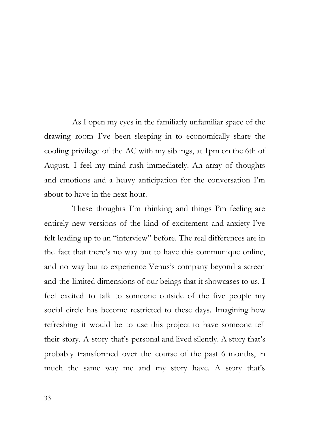As I open my eyes in the familiarly unfamiliar space of the drawing room I've been sleeping in to economically share the cooling privilege of the AC with my siblings, at 1pm on the 6th of August, I feel my mind rush immediately. An array of thoughts and emotions and a heavy anticipation for the conversation I'm about to have in the next hour.

These thoughts I'm thinking and things I'm feeling are entirely new versions of the kind of excitement and anxiety I've felt leading up to an "interview" before. The real differences are in the fact that there's no way but to have this communique online, and no way but to experience Venus's company beyond a screen and the limited dimensions of our beings that it showcases to us. I feel excited to talk to someone outside of the five people my social circle has become restricted to these days. Imagining how refreshing it would be to use this project to have someone tell their story. A story that's personal and lived silently. A story that's probably transformed over the course of the past 6 months, in much the same way me and my story have. A story that's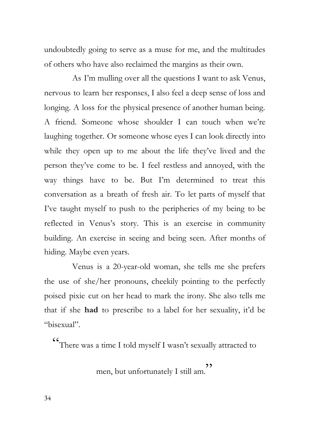undoubtedly going to serve as a muse for me, and the multitudes of others who have also reclaimed the margins as their own.

As I'm mulling over all the questions I want to ask Venus, nervous to learn her responses, I also feel a deep sense of loss and longing. A loss for the physical presence of another human being. A friend. Someone whose shoulder I can touch when we're laughing together. Or someone whose eyes I can look directly into while they open up to me about the life they've lived and the person they've come to be. I feel restless and annoyed, with the way things have to be. But I'm determined to treat this conversation as a breath of fresh air. To let parts of myself that I've taught myself to push to the peripheries of my being to be reflected in Venus's story. This is an exercise in community building. An exercise in seeing and being seen. After months of hiding. Maybe even years.

Venus is a 20-year-old woman, she tells me she prefers the use of she/her pronouns, cheekily pointing to the perfectly poised pixie cut on her head to mark the irony. She also tells me that if she **had** to prescribe to a label for her sexuality, it'd be "bisexual".

" There was a time I told myself I wasn't sexually attracted to

men, but unfortunately I still am.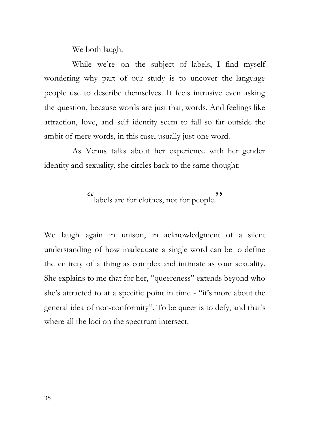We both laugh.

While we're on the subject of labels, I find myself wondering why part of our study is to uncover the language people use to describe themselves. It feels intrusive even asking the question, because words are just that, words. And feelings like attraction, love, and self identity seem to fall so far outside the ambit of mere words, in this case, usually just one word.

As Venus talks about her experience with her gender identity and sexuality, she circles back to the same thought:

" labels are for clothes, not for people."

We laugh again in unison, in acknowledgment of a silent understanding of how inadequate a single word can be to define the entirety of a thing as complex and intimate as your sexuality. She explains to me that for her, "queereness" extends beyond who she's attracted to at a specific point in time - "it's more about the general idea of non-conformity". To be queer is to defy, and that's where all the loci on the spectrum intersect.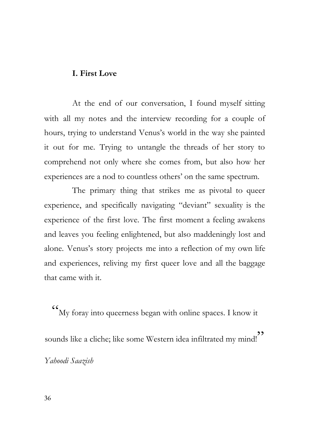#### **I. First Love**

At the end of our conversation, I found myself sitting with all my notes and the interview recording for a couple of hours, trying to understand Venus's world in the way she painted it out for me. Trying to untangle the threads of her story to comprehend not only where she comes from, but also how her experiences are a nod to countless others' on the same spectrum.

The primary thing that strikes me as pivotal to queer experience, and specifically navigating "deviant" sexuality is the experience of the first love. The first moment a feeling awakens and leaves you feeling enlightened, but also maddeningly lost and alone. Venus's story projects me into a reflection of my own life and experiences, reliving my first queer love and all the baggage that came with it.

" My foray into queerness began with online spaces. I know it sounds like a cliche; like some Western idea infiltrated my mind! " *Yahoodi Saazish*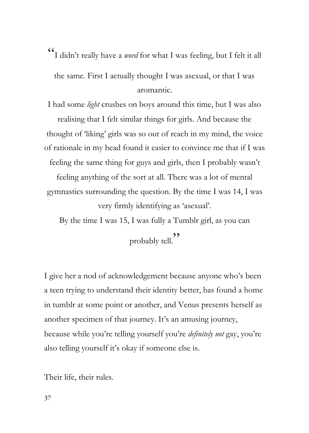" I didn't really have a *word* for what I was feeling, but I felt it all the same. First I actually thought I was asexual, or that I was aromantic.

I had some *light* crushes on boys around this time, but I was also realising that I felt similar things for girls. And because the thought of 'liking' girls was so out of reach in my mind, the voice of rationale in my head found it easier to convince me that if I was feeling the same thing for guys and girls, then I probably wasn't

feeling anything of the sort at all. There was a lot of mental gymnastics surrounding the question. By the time I was 14, I was very firmly identifying as 'asexual'.

By the time I was 15, I was fully a Tumblr girl, as you can

probably tell."

I give her a nod of acknowledgement because anyone who's been a teen trying to understand their identity better, has found a home in tumblr at some point or another, and Venus presents herself as another specimen of that journey. It's an amusing journey, because while you're telling yourself you're *definitely not* gay, you're also telling yourself it's okay if someone else is.

Their life, their rules*.*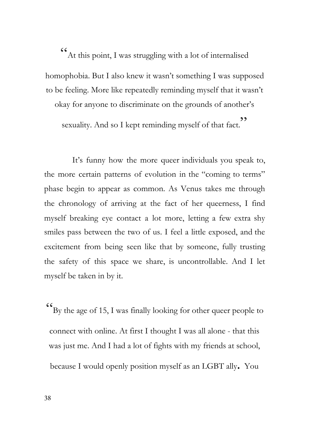" At this point, I was struggling with a lot of internalised homophobia. But I also knew it wasn't something I was supposed to be feeling. More like repeatedly reminding myself that it wasn't

okay for anyone to discriminate on the grounds of another's

sexuality. And so <sup>I</sup> kept reminding myself of that fact."

It's funny how the more queer individuals you speak to, the more certain patterns of evolution in the "coming to terms" phase begin to appear as common. As Venus takes me through the chronology of arriving at the fact of her queerness, I find myself breaking eye contact a lot more, letting a few extra shy smiles pass between the two of us. I feel a little exposed, and the excitement from being seen like that by someone, fully trusting the safety of this space we share, is uncontrollable. And I let myself be taken in by it.

" By the age of 15, I was finally looking for other queer people to connect with online. At first I thought I was all alone - that this was just me. And I had a lot of fights with my friends at school, because <sup>I</sup> would openly position myself as an LGBT ally. You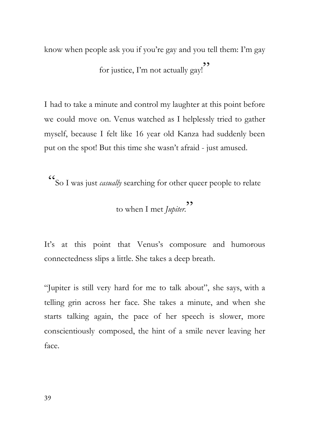know when people ask you if you're gay and you tell them: I'm gay for justice, I'm not actually gay!"

I had to take a minute and control my laughter at this point before we could move on. Venus watched as I helplessly tried to gather myself, because I felt like 16 year old Kanza had suddenly been put on the spot! But this time she wasn't afraid - just amused.

" So I was just *casually* searching for other queer people to relate

to when <sup>I</sup> met *Jupiter.*"

It's at this point that Venus's composure and humorous connectedness slips a little. She takes a deep breath.

"Jupiter is still very hard for me to talk about", she says, with a telling grin across her face. She takes a minute, and when she starts talking again, the pace of her speech is slower, more conscientiously composed, the hint of a smile never leaving her face.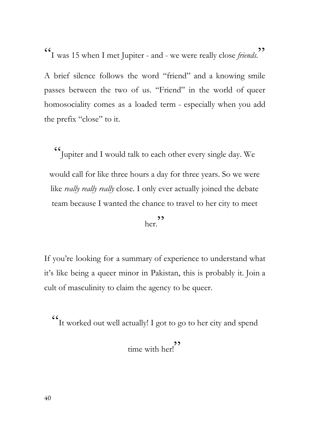" <sup>I</sup> was <sup>15</sup> when <sup>I</sup> met Jupiter - and - we were really close *friends*."

A brief silence follows the word "friend" and a knowing smile passes between the two of us. "Friend" in the world of queer homosociality comes as a loaded term - especially when you add the prefix "close" to it.

" Jupiter and I would talk to each other every single day. We would call for like three hours a day for three years. So we were like *really really really* close. I only ever actually joined the debate team because I wanted the chance to travel to her city to meet

# ther."

If you're looking for a summary of experience to understand what it's like being a queer minor in Pakistan, this is probably it. Join a cult of masculinity to claim the agency to be queer.

" It worked out well actually! I got to go to her city and spend

time with her! "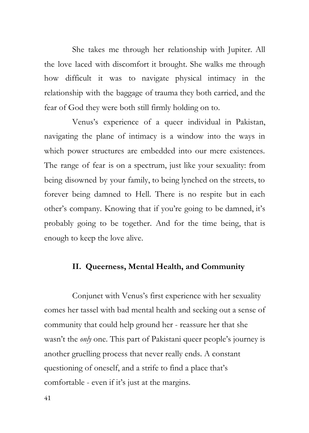She takes me through her relationship with Jupiter. All the love laced with discomfort it brought. She walks me through how difficult it was to navigate physical intimacy in the relationship with the baggage of trauma they both carried, and the fear of God they were both still firmly holding on to.

Venus's experience of a queer individual in Pakistan, navigating the plane of intimacy is a window into the ways in which power structures are embedded into our mere existences. The range of fear is on a spectrum, just like your sexuality: from being disowned by your family, to being lynched on the streets, to forever being damned to Hell. There is no respite but in each other's company. Knowing that if you're going to be damned, it's probably going to be together. And for the time being, that is enough to keep the love alive.

### **II. Queerness, Mental Health, and Community**

Conjunct with Venus's first experience with her sexuality comes her tassel with bad mental health and seeking out a sense of community that could help ground her - reassure her that she wasn't the *only* one. This part of Pakistani queer people's journey is another gruelling process that never really ends. A constant questioning of oneself, and a strife to find a place that's comfortable - even if it's just at the margins.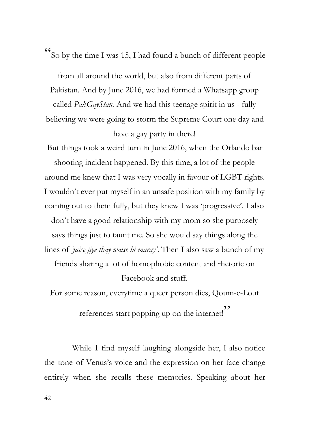" So by the time I was 15, I had found a bunch of different people

from all around the world, but also from different parts of Pakistan. And by June 2016, we had formed a Whatsapp group called *PakGayStan.* And we had this teenage spirit in us - fully believing we were going to storm the Supreme Court one day and have a gay party in there!

But things took a weird turn in June 2016, when the Orlando bar shooting incident happened. By this time, a lot of the people around me knew that I was very vocally in favour of LGBT rights. I wouldn't ever put myself in an unsafe position with my family by coming out to them fully, but they knew I was 'progressive'. I also don't have a good relationship with my mom so she purposely says things just to taunt me. So she would say things along the lines of *'jaise jiye thay waise hi maray'*. Then I also saw a bunch of my friends sharing a lot of homophobic content and rhetoric on Facebook and stuff.

For some reason, everytime a queer person dies, Qoum-e-Lout references start popping up on the internet! "

While I find myself laughing alongside her, I also notice the tone of Venus's voice and the expression on her face change entirely when she recalls these memories. Speaking about her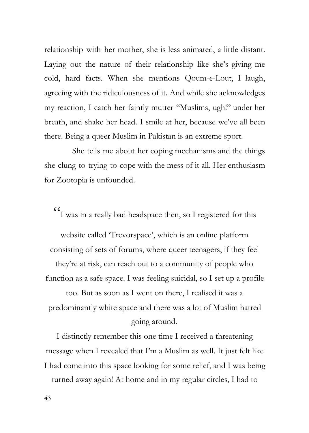relationship with her mother, she is less animated, a little distant. Laying out the nature of their relationship like she's giving me cold, hard facts. When she mentions Qoum-e-Lout, I laugh, agreeing with the ridiculousness of it. And while she acknowledges my reaction, I catch her faintly mutter "Muslims, ugh!" under her breath, and shake her head. I smile at her, because we've all been there. Being a queer Muslim in Pakistan is an extreme sport.

She tells me about her coping mechanisms and the things she clung to trying to cope with the mess of it all. Her enthusiasm for Zootopia is unfounded.

" I was in a really bad headspace then, so I registered for this

website called 'Trevorspace', which is an online platform consisting of sets of forums, where queer teenagers, if they feel they're at risk, can reach out to a community of people who function as a safe space. I was feeling suicidal, so I set up a profile too. But as soon as I went on there, I realised it was a predominantly white space and there was a lot of Muslim hatred going around.

I distinctly remember this one time I received a threatening message when I revealed that I'm a Muslim as well. It just felt like I had come into this space looking for some relief, and I was being turned away again! At home and in my regular circles, I had to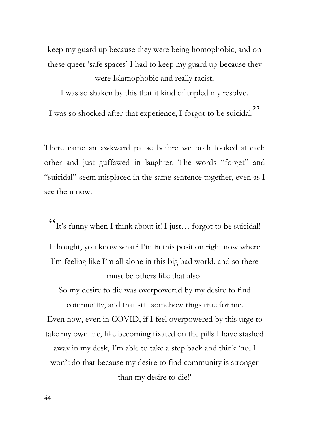keep my guard up because they were being homophobic, and on these queer 'safe spaces' I had to keep my guard up because they were Islamophobic and really racist.

I was so shaken by this that it kind of tripled my resolve.

<sup>I</sup> was so shocked after that experience, <sup>I</sup> forgot to be suicidal."

There came an awkward pause before we both looked at each other and just guffawed in laughter. The words "forget" and "suicidal" seem misplaced in the same sentence together, even as I see them now.

" It's funny when I think about it! I just… forgot to be suicidal! I thought, you know what? I'm in this position right now where I'm feeling like I'm all alone in this big bad world, and so there must be others like that also.

So my desire to die was overpowered by my desire to find community, and that still somehow rings true for me. Even now, even in COVID, if I feel overpowered by this urge to take my own life, like becoming fixated on the pills I have stashed away in my desk, I'm able to take a step back and think 'no, I won't do that because my desire to find community is stronger than my desire to die!'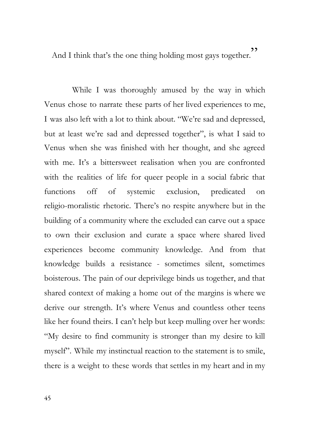And I think that's the one thing holding most gays together.

While I was thoroughly amused by the way in which Venus chose to narrate these parts of her lived experiences to me, I was also left with a lot to think about. "We're sad and depressed, but at least we're sad and depressed together", is what I said to Venus when she was finished with her thought, and she agreed with me. It's a bittersweet realisation when you are confronted with the realities of life for queer people in a social fabric that functions off of systemic exclusion, predicated on religio-moralistic rhetoric. There's no respite anywhere but in the building of a community where the excluded can carve out a space to own their exclusion and curate a space where shared lived experiences become community knowledge. And from that knowledge builds a resistance - sometimes silent, sometimes boisterous. The pain of our deprivilege binds us together, and that shared context of making a home out of the margins is where we derive our strength. It's where Venus and countless other teens like her found theirs. I can't help but keep mulling over her words: "My desire to find community is stronger than my desire to kill myself". While my instinctual reaction to the statement is to smile, there is a weight to these words that settles in my heart and in my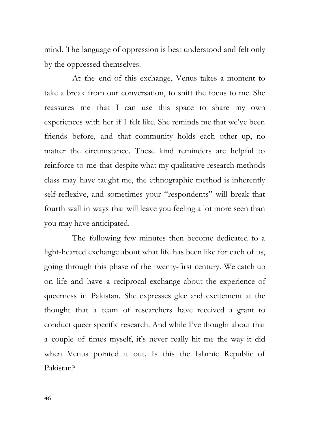mind. The language of oppression is best understood and felt only by the oppressed themselves.

At the end of this exchange, Venus takes a moment to take a break from our conversation, to shift the focus to me. She reassures me that I can use this space to share my own experiences with her if I felt like. She reminds me that we've been friends before, and that community holds each other up, no matter the circumstance. These kind reminders are helpful to reinforce to me that despite what my qualitative research methods class may have taught me, the ethnographic method is inherently self-reflexive, and sometimes your "respondents" will break that fourth wall in ways that will leave you feeling a lot more seen than you may have anticipated.

The following few minutes then become dedicated to a light-hearted exchange about what life has been like for each of us, going through this phase of the twenty-first century. We catch up on life and have a reciprocal exchange about the experience of queerness in Pakistan. She expresses glee and excitement at the thought that a team of researchers have received a grant to conduct queer specific research. And while I've thought about that a couple of times myself, it's never really hit me the way it did when Venus pointed it out. Is this the Islamic Republic of Pakistan?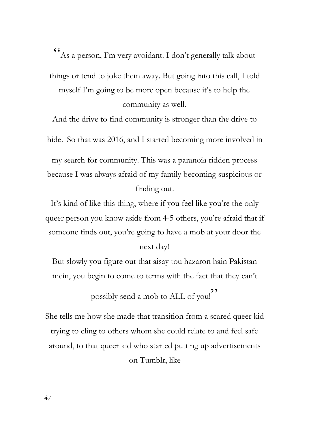$\zeta$ As a person, I'm very avoidant. I don't generally talk about things or tend to joke them away. But going into this call, I told myself I'm going to be more open because it's to help the community as well.

And the drive to find community is stronger than the drive to

hide. So that was 2016, and I started becoming more involved in

my search for community. This was a paranoia ridden process because I was always afraid of my family becoming suspicious or finding out.

It's kind of like this thing, where if you feel like you're the only queer person you know aside from 4-5 others, you're afraid that if someone finds out, you're going to have a mob at your door the next day!

But slowly you figure out that aisay tou hazaron hain Pakistan mein, you begin to come to terms with the fact that they can't

possibly send a mob to ALL of you!

She tells me how she made that transition from a scared queer kid trying to cling to others whom she could relate to and feel safe around, to that queer kid who started putting up advertisements on Tumblr, like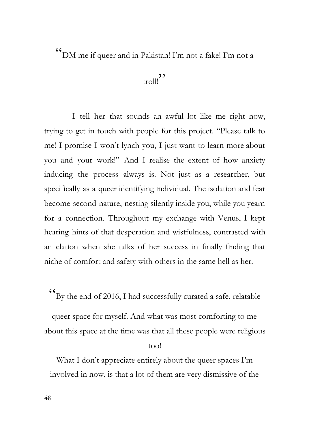$\zeta \zeta$ DM me if queer and in Pakistan! I'm not a fake! I'm not a

# troll!"

I tell her that sounds an awful lot like me right now, trying to get in touch with people for this project. "Please talk to me! I promise I won't lynch you, I just want to learn more about you and your work!" And I realise the extent of how anxiety inducing the process always is. Not just as a researcher, but specifically as a queer identifying individual. The isolation and fear become second nature, nesting silently inside you, while you yearn for a connection. Throughout my exchange with Venus, I kept hearing hints of that desperation and wistfulness, contrasted with an elation when she talks of her success in finally finding that niche of comfort and safety with others in the same hell as her.

" By the end of 2016, I had successfully curated a safe, relatable

queer space for myself. And what was most comforting to me about this space at the time was that all these people were religious

### too!

What I don't appreciate entirely about the queer spaces I'm involved in now, is that a lot of them are very dismissive of the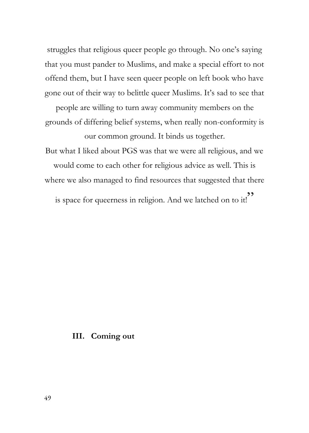struggles that religious queer people go through. No one's saying that you must pander to Muslims, and make a special effort to not offend them, but I have seen queer people on left book who have gone out of their way to belittle queer Muslims. It's sad to see that

people are willing to turn away community members on the grounds of differing belief systems, when really non-conformity is our common ground. It binds us together.

But what I liked about PGS was that we were all religious, and we would come to each other for religious advice as well. This is where we also managed to find resources that suggested that there is space for queerness in religion. And we latched on to it!

## **III. Coming out**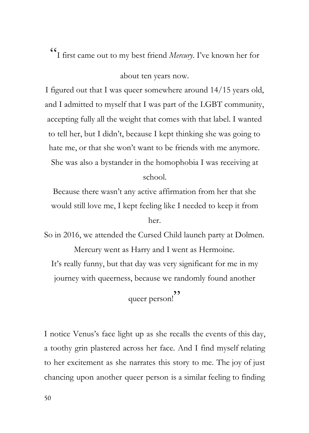" I first came out to my best friend *Mercury*. I've known her for

about ten years now.

I figured out that I was queer somewhere around 14/15 years old, and I admitted to myself that I was part of the LGBT community, accepting fully all the weight that comes with that label. I wanted to tell her, but I didn't, because I kept thinking she was going to hate me, or that she won't want to be friends with me anymore. She was also a bystander in the homophobia I was receiving at school.

Because there wasn't any active affirmation from her that she would still love me, I kept feeling like I needed to keep it from

her.

So in 2016, we attended the Cursed Child launch party at Dolmen.

Mercury went as Harry and I went as Hermoine. It's really funny, but that day was very significant for me in my journey with queerness, because we randomly found another

queer person! "

I notice Venus's face light up as she recalls the events of this day, a toothy grin plastered across her face. And I find myself relating to her excitement as she narrates this story to me. The joy of just chancing upon another queer person is a similar feeling to finding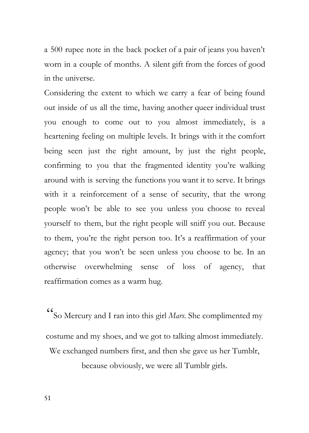a 500 rupee note in the back pocket of a pair of jeans you haven't worn in a couple of months. A silent gift from the forces of good in the universe.

Considering the extent to which we carry a fear of being found out inside of us all the time, having another queer individual trust you enough to come out to you almost immediately, is a heartening feeling on multiple levels. It brings with it the comfort being seen just the right amount, by just the right people, confirming to you that the fragmented identity you're walking around with is serving the functions you want it to serve. It brings with it a reinforcement of a sense of security, that the wrong people won't be able to see you unless you choose to reveal yourself to them, but the right people will sniff you out. Because to them, you're the right person too. It's a reaffirmation of your agency; that you won't be seen unless you choose to be. In an otherwise overwhelming sense of loss of agency, that reaffirmation comes as a warm hug.

" So Mercury and I ran into this girl *Mars*. She complimented my costume and my shoes, and we got to talking almost immediately. We exchanged numbers first, and then she gave us her Tumblr,

because obviously, we were all Tumblr girls.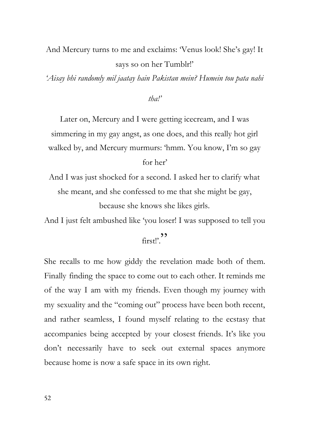And Mercury turns to me and exclaims: 'Venus look! She's gay! It says so on her Tumblr!'

*'Aisay bhi randomly mil jaatay hain Pakistan mein? Humein tou pata nahi*

*tha!'*

Later on, Mercury and I were getting icecream, and I was simmering in my gay angst, as one does, and this really hot girl walked by, and Mercury murmurs: 'hmm. You know, I'm so gay for her'

And I was just shocked for a second. I asked her to clarify what she meant, and she confessed to me that she might be gay,

because she knows she likes girls.

And I just felt ambushed like 'you loser! I was supposed to tell you

# $frac{1}{\text{first}}$

She recalls to me how giddy the revelation made both of them. Finally finding the space to come out to each other. It reminds me of the way I am with my friends. Even though my journey with my sexuality and the "coming out" process have been both recent, and rather seamless, I found myself relating to the ecstasy that accompanies being accepted by your closest friends. It's like you don't necessarily have to seek out external spaces anymore because home is now a safe space in its own right.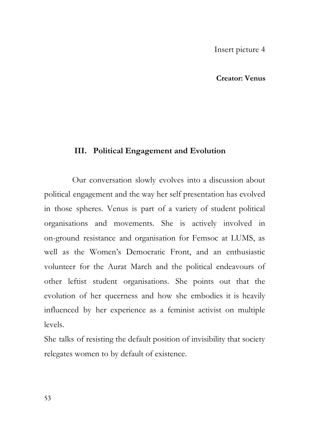Insert picture 4

#### **Creator: Venus**

## **III. Political Engagement and Evolution**

Our conversation slowly evolves into a discussion about political engagement and the way her self presentation has evolved in those spheres. Venus is part of a variety of student political organisations and movements. She is actively involved in on-ground resistance and organisation for Femsoc at LUMS, as well as the Women's Democratic Front, and an enthusiastic volunteer for the Aurat March and the political endeavours of other leftist student organisations. She points out that the evolution of her queerness and how she embodies it is heavily influenced by her experience as a feminist activist on multiple levels.

She talks of resisting the default position of invisibility that society relegates women to by default of existence.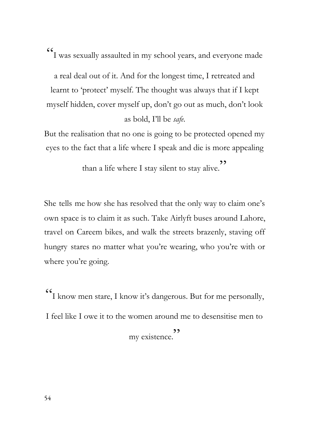" I was sexually assaulted in my school years, and everyone made

a real deal out of it. And for the longest time, I retreated and learnt to 'protect' myself. The thought was always that if I kept myself hidden, cover myself up, don't go out as much, don't look as bold, I'll be *safe*.

But the realisation that no one is going to be protected opened my eyes to the fact that a life where I speak and die is more appealing

than a life where I stay silent to stay alive.

She tells me how she has resolved that the only way to claim one's own space is to claim it as such. Take Airlyft buses around Lahore, travel on Careem bikes, and walk the streets brazenly, staving off hungry stares no matter what you're wearing, who you're with or where you're going.

" I know men stare, I know it's dangerous. But for me personally, I feel like I owe it to the women around me to desensitise men to

my existence.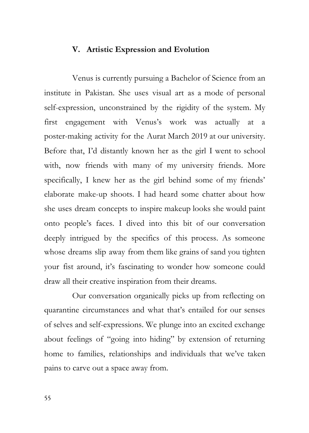### **V. Artistic Expression and Evolution**

Venus is currently pursuing a Bachelor of Science from an institute in Pakistan. She uses visual art as a mode of personal self-expression, unconstrained by the rigidity of the system. My first engagement with Venus's work was actually at a poster-making activity for the Aurat March 2019 at our university. Before that, I'd distantly known her as the girl I went to school with, now friends with many of my university friends. More specifically, I knew her as the girl behind some of my friends' elaborate make-up shoots. I had heard some chatter about how she uses dream concepts to inspire makeup looks she would paint onto people's faces. I dived into this bit of our conversation deeply intrigued by the specifics of this process. As someone whose dreams slip away from them like grains of sand you tighten your fist around, it's fascinating to wonder how someone could draw all their creative inspiration from their dreams.

Our conversation organically picks up from reflecting on quarantine circumstances and what that's entailed for our senses of selves and self-expressions. We plunge into an excited exchange about feelings of "going into hiding" by extension of returning home to families, relationships and individuals that we've taken pains to carve out a space away from.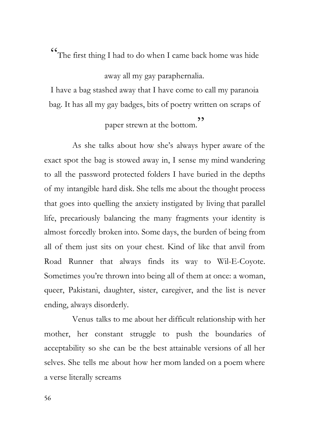" The first thing I had to do when I came back home was hide

away all my gay paraphernalia.

I have a bag stashed away that I have come to call my paranoia bag. It has all my gay badges, bits of poetry written on scraps of

paper strewn at the bottom."

As she talks about how she's always hyper aware of the exact spot the bag is stowed away in, I sense my mind wandering to all the password protected folders I have buried in the depths of my intangible hard disk. She tells me about the thought process that goes into quelling the anxiety instigated by living that parallel life, precariously balancing the many fragments your identity is almost forcedly broken into. Some days, the burden of being from all of them just sits on your chest. Kind of like that anvil from Road Runner that always finds its way to Wil-E-Coyote. Sometimes you're thrown into being all of them at once: a woman, queer, Pakistani, daughter, sister, caregiver, and the list is never ending, always disorderly.

Venus talks to me about her difficult relationship with her mother, her constant struggle to push the boundaries of acceptability so she can be the best attainable versions of all her selves. She tells me about how her mom landed on a poem where a verse literally screams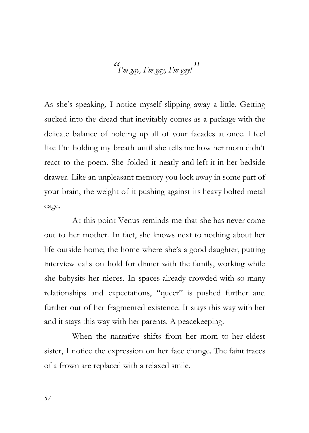# *" I'm gay, I'm gay, I'm gay! "*

As she's speaking, I notice myself slipping away a little. Getting sucked into the dread that inevitably comes as a package with the delicate balance of holding up all of your facades at once. I feel like I'm holding my breath until she tells me how her mom didn't react to the poem. She folded it neatly and left it in her bedside drawer. Like an unpleasant memory you lock away in some part of your brain, the weight of it pushing against its heavy bolted metal cage.

At this point Venus reminds me that she has never come out to her mother. In fact, she knows next to nothing about her life outside home; the home where she's a good daughter, putting interview calls on hold for dinner with the family, working while she babysits her nieces. In spaces already crowded with so many relationships and expectations, "queer" is pushed further and further out of her fragmented existence. It stays this way with her and it stays this way with her parents. A peacekeeping.

When the narrative shifts from her mom to her eldest sister, I notice the expression on her face change. The faint traces of a frown are replaced with a relaxed smile.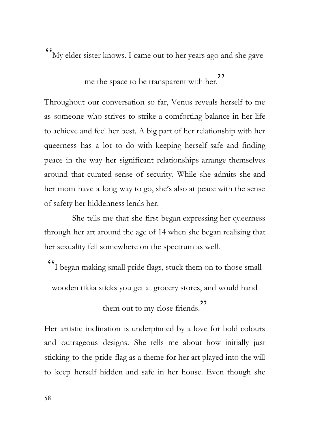" My elder sister knows. I came out to her years ago and she gave

me the space to be transparent with her.

Throughout our conversation so far, Venus reveals herself to me as someone who strives to strike a comforting balance in her life to achieve and feel her best. A big part of her relationship with her queerness has a lot to do with keeping herself safe and finding peace in the way her significant relationships arrange themselves around that curated sense of security. While she admits she and her mom have a long way to go, she's also at peace with the sense of safety her hiddenness lends her.

She tells me that she first began expressing her queerness through her art around the age of 14 when she began realising that her sexuality fell somewhere on the spectrum as well.

" I began making small pride flags, stuck them on to those small

wooden tikka sticks you get at grocery stores, and would hand

them out to my close friends."

Her artistic inclination is underpinned by a love for bold colours and outrageous designs. She tells me about how initially just sticking to the pride flag as a theme for her art played into the will to keep herself hidden and safe in her house. Even though she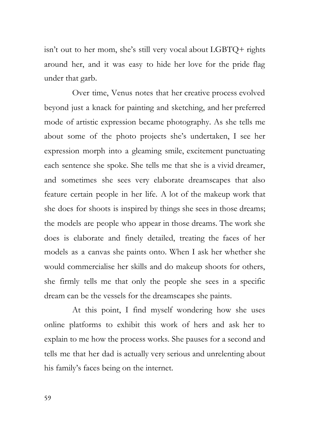isn't out to her mom, she's still very vocal about LGBTQ+ rights around her, and it was easy to hide her love for the pride flag under that garb.

Over time, Venus notes that her creative process evolved beyond just a knack for painting and sketching, and her preferred mode of artistic expression became photography. As she tells me about some of the photo projects she's undertaken, I see her expression morph into a gleaming smile, excitement punctuating each sentence she spoke. She tells me that she is a vivid dreamer, and sometimes she sees very elaborate dreamscapes that also feature certain people in her life. A lot of the makeup work that she does for shoots is inspired by things she sees in those dreams; the models are people who appear in those dreams. The work she does is elaborate and finely detailed, treating the faces of her models as a canvas she paints onto. When I ask her whether she would commercialise her skills and do makeup shoots for others, she firmly tells me that only the people she sees in a specific dream can be the vessels for the dreamscapes she paints.

At this point, I find myself wondering how she uses online platforms to exhibit this work of hers and ask her to explain to me how the process works. She pauses for a second and tells me that her dad is actually very serious and unrelenting about his family's faces being on the internet.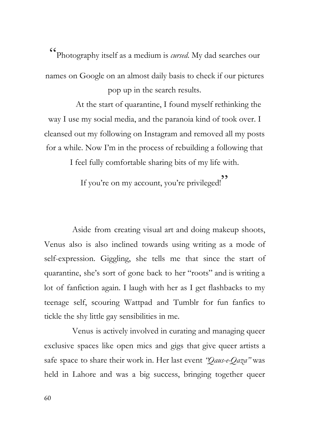" Photography itself as a medium is *cursed*. My dad searches our names on Google on an almost daily basis to check if our pictures pop up in the search results.

At the start of quarantine, I found myself rethinking the way I use my social media, and the paranoia kind of took over. I cleansed out my following on Instagram and removed all my posts for a while. Now I'm in the process of rebuilding a following that I feel fully comfortable sharing bits of my life with.

If you're on my account, you're privileged!"

Aside from creating visual art and doing makeup shoots, Venus also is also inclined towards using writing as a mode of self-expression. Giggling, she tells me that since the start of quarantine, she's sort of gone back to her "roots" and is writing a lot of fanfiction again. I laugh with her as I get flashbacks to my teenage self, scouring Wattpad and Tumblr for fun fanfics to tickle the shy little gay sensibilities in me.

Venus is actively involved in curating and managing queer exclusive spaces like open mics and gigs that give queer artists a safe space to share their work in. Her last event *"Qaus-e-Qaza"* was held in Lahore and was a big success, bringing together queer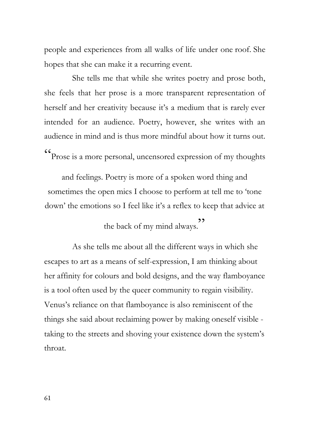people and experiences from all walks of life under one roof. She hopes that she can make it a recurring event.

She tells me that while she writes poetry and prose both, she feels that her prose is a more transparent representation of herself and her creativity because it's a medium that is rarely ever intended for an audience. Poetry, however, she writes with an audience in mind and is thus more mindful about how it turns out. " Prose is a more personal, uncensored expression of my thoughts

and feelings. Poetry is more of a spoken word thing and sometimes the open mics I choose to perform at tell me to 'tone down' the emotions so I feel like it's a reflex to keep that advice at

the back of my mind always.

As she tells me about all the different ways in which she escapes to art as a means of self-expression, I am thinking about her affinity for colours and bold designs, and the way flamboyance is a tool often used by the queer community to regain visibility. Venus's reliance on that flamboyance is also reminiscent of the things she said about reclaiming power by making oneself visible taking to the streets and shoving your existence down the system's throat.

61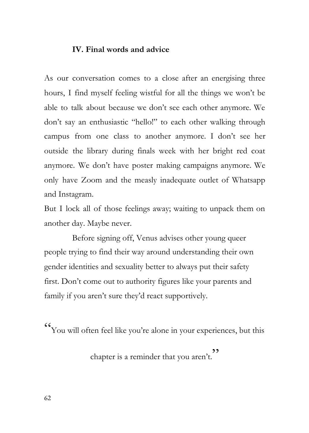### **IV. Final words and advice**

As our conversation comes to a close after an energising three hours, I find myself feeling wistful for all the things we won't be able to talk about because we don't see each other anymore. We don't say an enthusiastic "hello!" to each other walking through campus from one class to another anymore. I don't see her outside the library during finals week with her bright red coat anymore. We don't have poster making campaigns anymore. We only have Zoom and the measly inadequate outlet of Whatsapp and Instagram.

But I lock all of those feelings away; waiting to unpack them on another day. Maybe never.

Before signing off, Venus advises other young queer people trying to find their way around understanding their own gender identities and sexuality better to always put their safety first. Don't come out to authority figures like your parents and family if you aren't sure they'd react supportively.

" You will often feel like you're alone in your experiences, but this

chapter is <sup>a</sup> reminder that you aren't."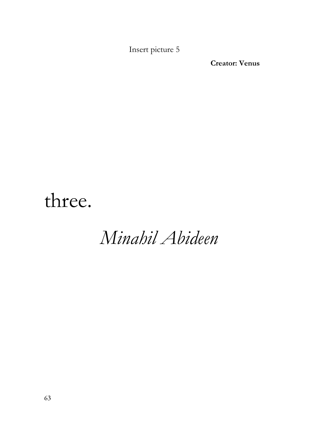Insert picture 5

**Creator: Venus**

# three.

# *Minahil Abideen*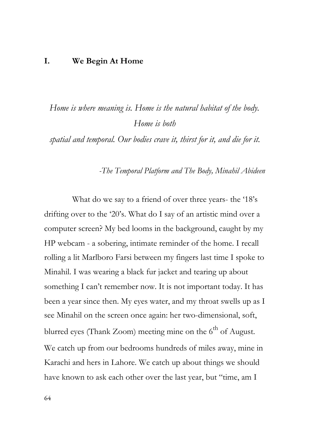### **I. We Begin At Home**

*Home is where meaning is. Home is the natural habitat of the body. Home is both*

*spatial and temporal. Our bodies crave it, thirst for it, and die for it.*

#### *-The Temporal Platform and The Body, Minahil Abideen*

What do we say to a friend of over three years- the '18's drifting over to the '20's. What do I say of an artistic mind over a computer screen? My bed looms in the background, caught by my HP webcam - a sobering, intimate reminder of the home. I recall rolling a lit Marlboro Farsi between my fingers last time I spoke to Minahil. I was wearing a black fur jacket and tearing up about something I can't remember now. It is not important today. It has been a year since then. My eyes water, and my throat swells up as I see Minahil on the screen once again: her two-dimensional, soft, blurred eyes (Thank Zoom) meeting mine on the  $6^{\text{th}}$  of August. We catch up from our bedrooms hundreds of miles away, mine in Karachi and hers in Lahore. We catch up about things we should have known to ask each other over the last year, but "time, am I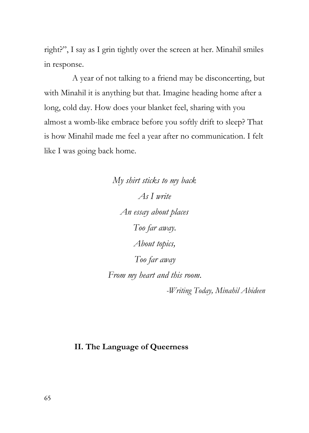right?", I say as I grin tightly over the screen at her. Minahil smiles in response.

A year of not talking to a friend may be disconcerting, but with Minahil it is anything but that. Imagine heading home after a long, cold day. How does your blanket feel, sharing with you almost a womb-like embrace before you softly drift to sleep? That is how Minahil made me feel a year after no communication. I felt like I was going back home.

> *My shirt sticks to my back As I write An essay about places Too far away. About topics, Too far away From my heart and this room*. *-Writing Today, Minahil Abideen*

# **II. The Language of Queerness**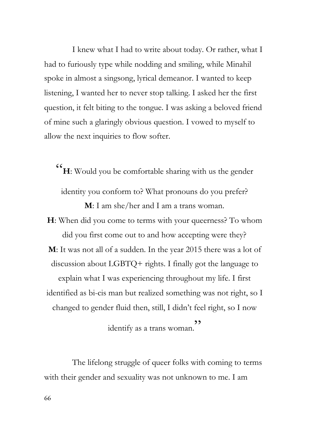I knew what I had to write about today. Or rather, what I had to furiously type while nodding and smiling, while Minahil spoke in almost a singsong, lyrical demeanor. I wanted to keep listening, I wanted her to never stop talking. I asked her the first question, it felt biting to the tongue. I was asking a beloved friend of mine such a glaringly obvious question. I vowed to myself to allow the next inquiries to flow softer.

" **H**: Would you be comfortable sharing with us the gender identity you conform to? What pronouns do you prefer?

**M**: I am she/her and I am a trans woman.

**H**: When did you come to terms with your queerness? To whom did you first come out to and how accepting were they? **M**: It was not all of a sudden. In the year 2015 there was a lot of discussion about LGBTQ+ rights. I finally got the language to explain what I was experiencing throughout my life. I first identified as bi-cis man but realized something was not right, so I changed to gender fluid then, still, I didn't feel right, so I now

identify as <sup>a</sup> trans woman."

The lifelong struggle of queer folks with coming to terms with their gender and sexuality was not unknown to me. I am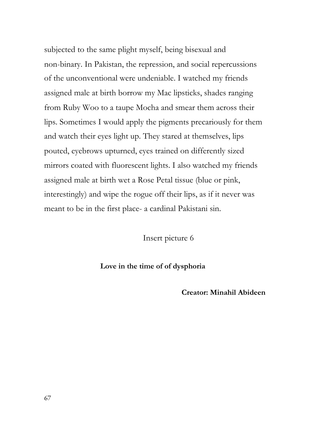subjected to the same plight myself, being bisexual and non-binary. In Pakistan, the repression, and social repercussions of the unconventional were undeniable. I watched my friends assigned male at birth borrow my Mac lipsticks, shades ranging from Ruby Woo to a taupe Mocha and smear them across their lips. Sometimes I would apply the pigments precariously for them and watch their eyes light up. They stared at themselves, lips pouted, eyebrows upturned, eyes trained on differently sized mirrors coated with fluorescent lights. I also watched my friends assigned male at birth wet a Rose Petal tissue (blue or pink, interestingly) and wipe the rogue off their lips, as if it never was meant to be in the first place- a cardinal Pakistani sin.

Insert picture 6

### **Love in the time of of dysphoria**

**Creator: Minahil Abideen**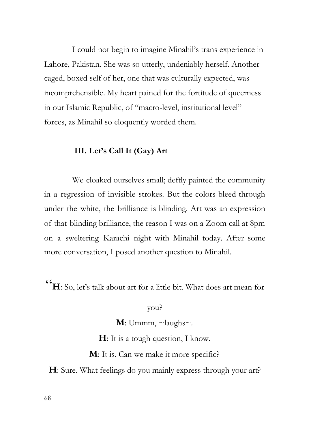I could not begin to imagine Minahil's trans experience in Lahore, Pakistan. She was so utterly, undeniably herself. Another caged, boxed self of her, one that was culturally expected, was incomprehensible. My heart pained for the fortitude of queerness in our Islamic Republic, of "macro-level, institutional level" forces, as Minahil so eloquently worded them.

## **III. Let's Call It (Gay) Art**

We cloaked ourselves small; deftly painted the community in a regression of invisible strokes. But the colors bleed through under the white, the brilliance is blinding. Art was an expression of that blinding brilliance, the reason I was on a Zoom call at 8pm on a sweltering Karachi night with Minahil today. After some more conversation, I posed another question to Minahil.

" **H**: So, let's talk about art for a little bit. What does art mean for

you?

**M**: Ummm, ~laughs~.

**H**: It is a tough question, I know.

**M**: It is. Can we make it more specific?

**H**: Sure. What feelings do you mainly express through your art?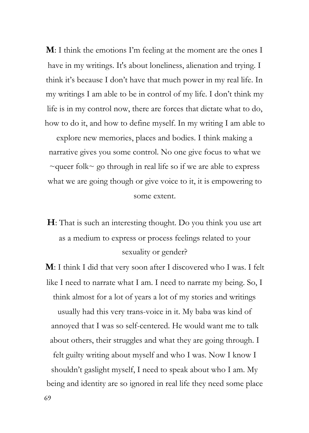**M**: I think the emotions I'm feeling at the moment are the ones I have in my writings. It's about loneliness, alienation and trying. I think it's because I don't have that much power in my real life. In my writings I am able to be in control of my life. I don't think my life is in my control now, there are forces that dictate what to do, how to do it, and how to define myself. In my writing I am able to

explore new memories, places and bodies. I think making a narrative gives you some control. No one give focus to what we ~queer folk~ go through in real life so if we are able to express what we are going though or give voice to it, it is empowering to some extent.

**H**: That is such an interesting thought. Do you think you use art as a medium to express or process feelings related to your sexuality or gender?

**M**: I think I did that very soon after I discovered who I was. I felt like I need to narrate what I am. I need to narrate my being. So, I think almost for a lot of years a lot of my stories and writings

usually had this very trans-voice in it. My baba was kind of annoyed that I was so self-centered. He would want me to talk about others, their struggles and what they are going through. I felt guilty writing about myself and who I was. Now I know I shouldn't gaslight myself, I need to speak about who I am. My being and identity are so ignored in real life they need some place

69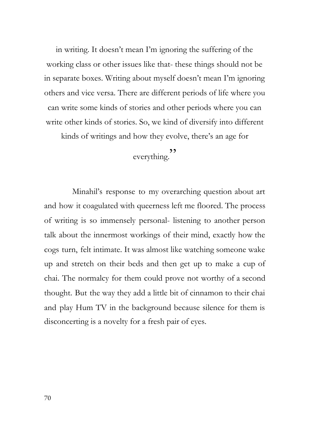in writing. It doesn't mean I'm ignoring the suffering of the working class or other issues like that- these things should not be in separate boxes. Writing about myself doesn't mean I'm ignoring others and vice versa. There are different periods of life where you can write some kinds of stories and other periods where you can write other kinds of stories. So, we kind of diversify into different

kinds of writings and how they evolve, there's an age for

# everything."

Minahil's response to my overarching question about art and how it coagulated with queerness left me floored. The process of writing is so immensely personal- listening to another person talk about the innermost workings of their mind, exactly how the cogs turn, felt intimate. It was almost like watching someone wake up and stretch on their beds and then get up to make a cup of chai. The normalcy for them could prove not worthy of a second thought. But the way they add a little bit of cinnamon to their chai and play Hum TV in the background because silence for them is disconcerting is a novelty for a fresh pair of eyes.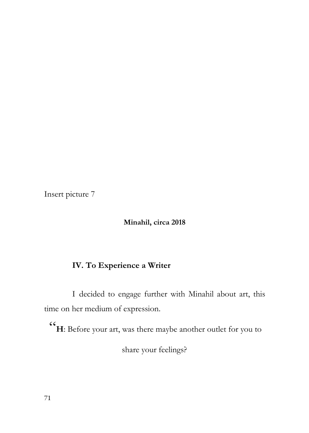Insert picture 7

## **Minahil, circa 2018**

## **IV. To Experience a Writer**

I decided to engage further with Minahil about art, this time on her medium of expression.

" **H**: Before your art, was there maybe another outlet for you to

share your feelings?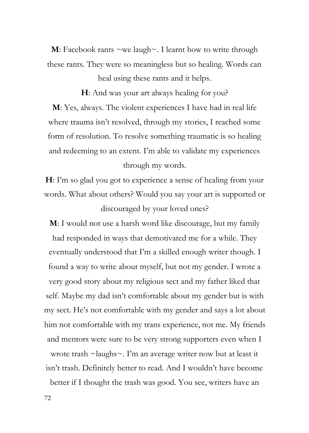**M**: Facebook rants ~we laugh~. I learnt how to write through these rants. They were so meaningless but so healing. Words can

heal using these rants and it helps.

**H**: And was your art always healing for you?

**M**: Yes, always. The violent experiences I have had in real life where trauma isn't resolved, through my stories, I reached some form of resolution. To resolve something traumatic is so healing and redeeming to an extent. I'm able to validate my experiences through my words.

**H**: I'm so glad you got to experience a sense of healing from your words. What about others? Would you say your art is supported or discouraged by your loved ones?

**M**: I would not use a harsh word like discourage, but my family had responded in ways that demotivated me for a while. They eventually understood that I'm a skilled enough writer though. I found a way to write about myself, but not my gender. I wrote a very good story about my religious sect and my father liked that self. Maybe my dad isn't comfortable about my gender but is with my sect. He's not comfortable with my gender and says a lot about him not comfortable with my trans experience, not me. My friends and mentors were sure to be very strong supporters even when I wrote trash ~laughs~. I'm an average writer now but at least it isn't trash. Definitely better to read. And I wouldn't have become

better if I thought the trash was good. You see, writers have an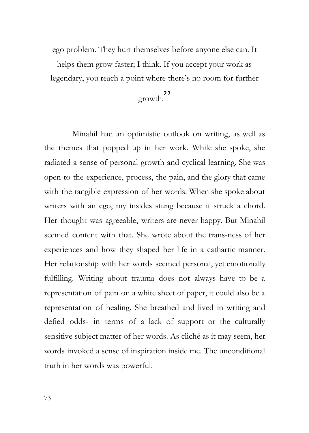ego problem. They hurt themselves before anyone else can. It

helps them grow faster; I think. If you accept your work as legendary, you reach a point where there's no room for further

# growth."

Minahil had an optimistic outlook on writing, as well as the themes that popped up in her work. While she spoke, she radiated a sense of personal growth and cyclical learning. She was open to the experience, process, the pain, and the glory that came with the tangible expression of her words. When she spoke about writers with an ego, my insides stung because it struck a chord. Her thought was agreeable, writers are never happy. But Minahil seemed content with that. She wrote about the trans-ness of her experiences and how they shaped her life in a cathartic manner. Her relationship with her words seemed personal, yet emotionally fulfilling. Writing about trauma does not always have to be a representation of pain on a white sheet of paper, it could also be a representation of healing. She breathed and lived in writing and defied odds- in terms of a lack of support or the culturally sensitive subject matter of her words. As cliché as it may seem, her words invoked a sense of inspiration inside me. The unconditional truth in her words was powerful.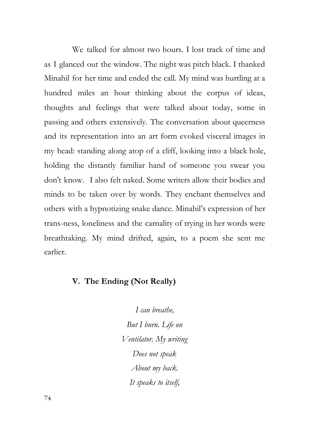We talked for almost two hours. I lost track of time and as I glanced out the window. The night was pitch black. I thanked Minahil for her time and ended the call. My mind was hurtling at a hundred miles an hour thinking about the corpus of ideas, thoughts and feelings that were talked about today, some in passing and others extensively. The conversation about queerness and its representation into an art form evoked visceral images in my head: standing along atop of a cliff, looking into a black hole, holding the distantly familiar hand of someone you swear you don't know. I also felt naked. Some writers allow their bodies and minds to be taken over by words. They enchant themselves and others with a hypnotizing snake dance. Minahil's expression of her trans-ness, loneliness and the carnality of trying in her words were breathtaking. My mind drifted, again, to a poem she sent me earlier.

#### **V. The Ending (Not Really)**

*I can breathe, But I burn. Life on Ventilator. My writing Does not speak About my back. It speaks to itself,*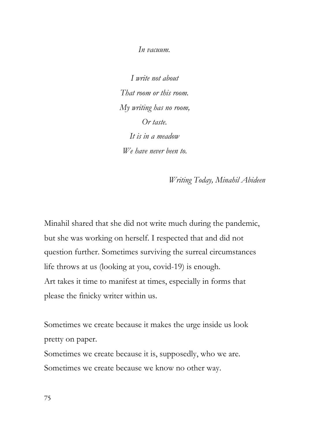*In vacuum.*

*I write not about That room or this room. My writing has no room, Or taste. It is in a meadow We have never been to.*

*Writing Today, Minahil Abideen*

Minahil shared that she did not write much during the pandemic, but she was working on herself. I respected that and did not question further. Sometimes surviving the surreal circumstances life throws at us (looking at you, covid-19) is enough. Art takes it time to manifest at times, especially in forms that please the finicky writer within us.

Sometimes we create because it makes the urge inside us look pretty on paper.

Sometimes we create because it is, supposedly, who we are. Sometimes we create because we know no other way.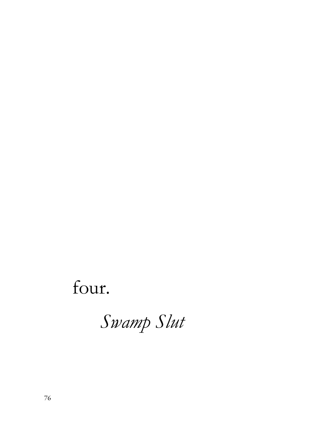# four.

*Swamp Slut*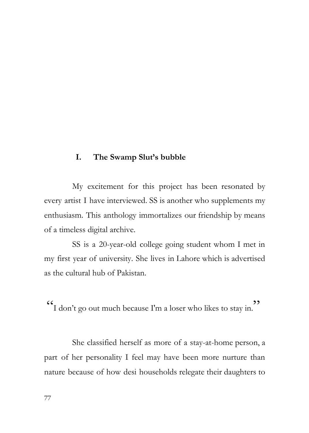#### **I. The Swamp Slut's bubble**

My excitement for this project has been resonated by every artist I have interviewed. SS is another who supplements my enthusiasm. This anthology immortalizes our friendship by means of a timeless digital archive.

SS is a 20-year-old college going student whom I met in my first year of university. She lives in Lahore which is advertised as the cultural hub of Pakistan.

" <sup>I</sup> don't go out much because I'm <sup>a</sup> loser who likes to stay in."

She classified herself as more of a stay-at-home person, a part of her personality I feel may have been more nurture than nature because of how desi households relegate their daughters to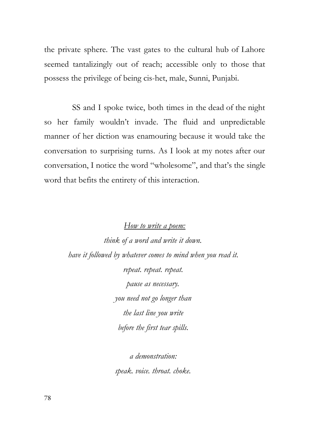the private sphere. The vast gates to the cultural hub of Lahore seemed tantalizingly out of reach; accessible only to those that possess the privilege of being cis-het, male, Sunni, Punjabi.

SS and I spoke twice, both times in the dead of the night so her family wouldn't invade. The fluid and unpredictable manner of her diction was enamouring because it would take the conversation to surprising turns. As I look at my notes after our conversation, I notice the word "wholesome", and that's the single word that befits the entirety of this interaction.

*How to write a poem:*

*think of a word and write it down. have it followed by whatever comes to mind when you read it. repeat. repeat. repeat. pause as necessary. you need not go longer than the last line you write before the first tear spills.*

> *a demonstration: speak. voice. throat. choke.*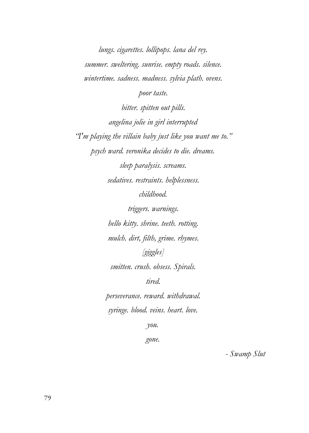*lungs. cigarettes. lollipops. lana del rey. summer. sweltering. sunrise. empty roads. silence. wintertime. sadness. madness. sylvia plath. ovens.*

*poor taste.*

*bitter. spitten out pills. angelina jolie in girl interrupted "I'm playing the villain baby just like you want me to." psych ward. veronika decides to die. dreams.*

> *sleep paralysis. screams. sedatives. restraints. helplessness. childhood.*

> *triggers. warnings. hello kitty. shrine. teeth. rotting. mulch. dirt, filth, grime. rhymes. [giggles]*

*smitten. crush. obsess. Spirals.*

*tired.*

*perseverance. reward. withdrawal. syringe. blood. veins. heart. love.*

*you.*

*gone.*

*- Swamp Slut*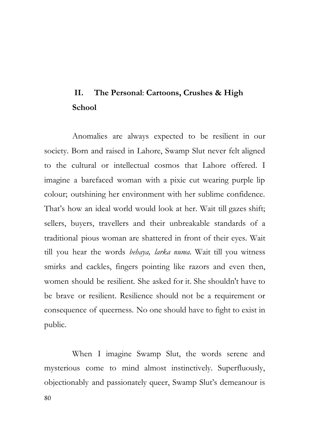### **II. The Personal**: **Cartoons, Crushes & High School**

Anomalies are always expected to be resilient in our society. Born and raised in Lahore, Swamp Slut never felt aligned to the cultural or intellectual cosmos that Lahore offered. I imagine a barefaced woman with a pixie cut wearing purple lip colour; outshining her environment with her sublime confidence. That's how an ideal world would look at her. Wait till gazes shift; sellers, buyers, travellers and their unbreakable standards of a traditional pious woman are shattered in front of their eyes. Wait till you hear the words *behaya, larka numa*. Wait till you witness smirks and cackles, fingers pointing like razors and even then, women should be resilient. She asked for it. She shouldn't have to be brave or resilient. Resilience should not be a requirement or consequence of queerness. No one should have to fight to exist in public.

When I imagine Swamp Slut, the words serene and mysterious come to mind almost instinctively. Superfluously, objectionably and passionately queer, Swamp Slut's demeanour is 80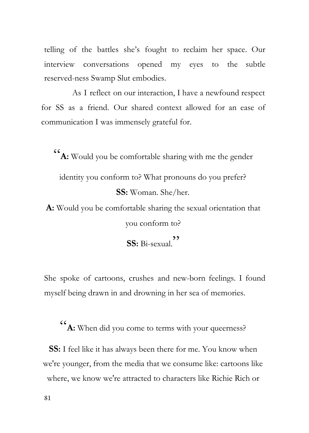telling of the battles she's fought to reclaim her space. Our interview conversations opened my eyes to the subtle reserved-ness Swamp Slut embodies.

As I reflect on our interaction, I have a newfound respect for SS as a friend. Our shared context allowed for an ease of communication I was immensely grateful for.

"**<sup>A</sup>:** Would you be comfortable sharing with me the gender identity you conform to? What pronouns do you prefer? **SS:** Woman. She/her.

**A:** Would you be comfortable sharing the sexual orientation that you conform to?

**SS:** Bi-sexual."

She spoke of cartoons, crushes and new-born feelings. I found myself being drawn in and drowning in her sea of memories.

"**<sup>A</sup>:** When did you come to terms with your queerness?

**SS:** I feel like it has always been there for me. You know when we're younger, from the media that we consume like: cartoons like where, we know we're attracted to characters like Richie Rich or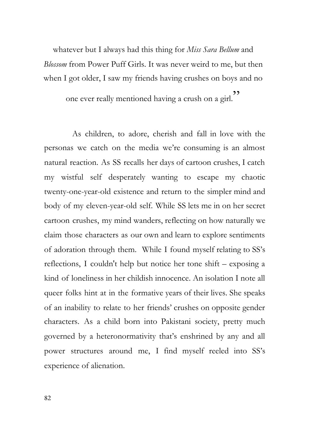whatever but I always had this thing for *Miss Sara Bellum* and *Blossom* from Power Puff Girls. It was never weird to me, but then when I got older, I saw my friends having crushes on boys and no

one ever really mentioned having <sup>a</sup> crush on <sup>a</sup> girl."

As children, to adore, cherish and fall in love with the personas we catch on the media we're consuming is an almost natural reaction. As SS recalls her days of cartoon crushes, I catch my wistful self desperately wanting to escape my chaotic twenty-one-year-old existence and return to the simpler mind and body of my eleven-year-old self. While SS lets me in on her secret cartoon crushes, my mind wanders, reflecting on how naturally we claim those characters as our own and learn to explore sentiments of adoration through them. While I found myself relating to SS's reflections, I couldn't help but notice her tone shift – exposing a kind of loneliness in her childish innocence. An isolation I note all queer folks hint at in the formative years of their lives. She speaks of an inability to relate to her friends' crushes on opposite gender characters. As a child born into Pakistani society, pretty much governed by a heteronormativity that's enshrined by any and all power structures around me, I find myself reeled into SS's experience of alienation.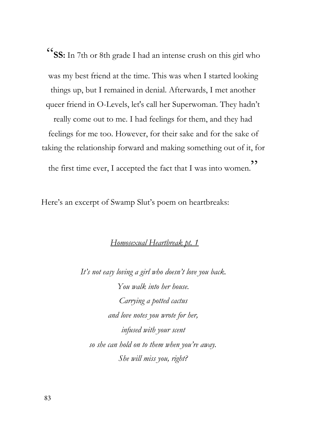"**SS:** In 7th or 8th grade <sup>I</sup> had an intense crush on this girl who was my best friend at the time. This was when I started looking things up, but I remained in denial. Afterwards, I met another queer friend in O-Levels, let's call her Superwoman. They hadn't really come out to me. I had feelings for them, and they had feelings for me too. However, for their sake and for the sake of taking the relationship forward and making something out of it, for the first time ever, <sup>I</sup> accepted the fact that <sup>I</sup> was into women."

Here's an excerpt of Swamp Slut's poem on heartbreaks:

#### *Homosexual Heartbreak pt. 1*

*It's not easy loving a girl who doesn't love you back. You walk into her house. Carrying a potted cactus and love notes you wrote for her, infused with your scent so she can hold on to them when you're away. She will miss you, right?*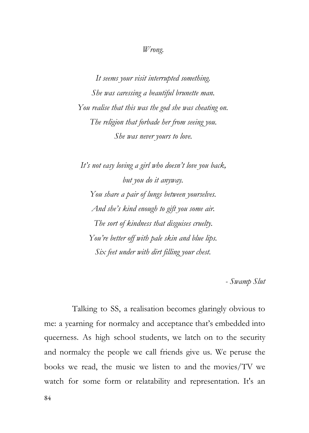#### *Wrong.*

*It seems your visit interrupted something. She was caressing a beautiful brunette man. You realise that this was the god she was cheating on. The religion that forbade her from seeing you. She was never yours to love.*

*It's not easy loving a girl who doesn't love you back, but you do it anyway. You share a pair of lungs between yourselves. And she's kind enough to gift you some air. The sort of kindness that disguises cruelty. You're better of with pale skin and blue lips. Six feet under with dirt filling your chest.*

*- Swamp Slut*

Talking to SS, a realisation becomes glaringly obvious to me: a yearning for normalcy and acceptance that's embedded into queerness. As high school students, we latch on to the security and normalcy the people we call friends give us. We peruse the books we read, the music we listen to and the movies/TV we watch for some form or relatability and representation. It's an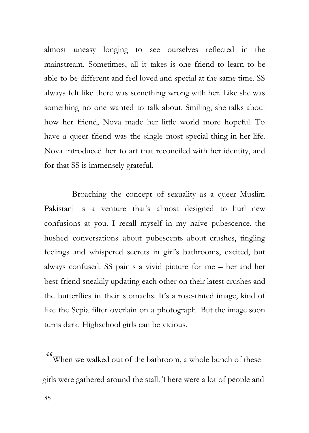almost uneasy longing to see ourselves reflected in the mainstream. Sometimes, all it takes is one friend to learn to be able to be different and feel loved and special at the same time. SS always felt like there was something wrong with her. Like she was something no one wanted to talk about. Smiling, she talks about how her friend, Nova made her little world more hopeful. To have a queer friend was the single most special thing in her life. Nova introduced her to art that reconciled with her identity, and for that SS is immensely grateful.

Broaching the concept of sexuality as a queer Muslim Pakistani is a venture that's almost designed to hurl new confusions at you. I recall myself in my naïve pubescence, the hushed conversations about pubescents about crushes, tingling feelings and whispered secrets in girl's bathrooms, excited, but always confused. SS paints a vivid picture for me – her and her best friend sneakily updating each other on their latest crushes and the butterflies in their stomachs. It's a rose-tinted image, kind of like the Sepia filter overlain on a photograph. But the image soon turns dark. Highschool girls can be vicious.

" When we walked out of the bathroom, a whole bunch of these girls were gathered around the stall. There were a lot of people and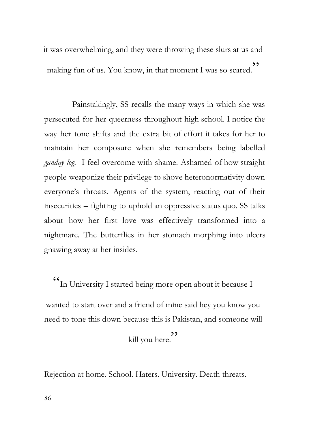it was overwhelming, and they were throwing these slurs at us and making fun of us. You know, in that moment I was so scared.

Painstakingly, SS recalls the many ways in which she was persecuted for her queerness throughout high school. I notice the way her tone shifts and the extra bit of effort it takes for her to maintain her composure when she remembers being labelled *ganday log.* I feel overcome with shame. Ashamed of how straight people weaponize their privilege to shove heteronormativity down everyone's throats. Agents of the system, reacting out of their insecurities – fighting to uphold an oppressive status quo. SS talks about how her first love was effectively transformed into a nightmare. The butterflies in her stomach morphing into ulcers gnawing away at her insides.

" In University I started being more open about it because I wanted to start over and a friend of mine said hey you know you need to tone this down because this is Pakistan, and someone will

### kill you here."

Rejection at home. School. Haters. University. Death threats.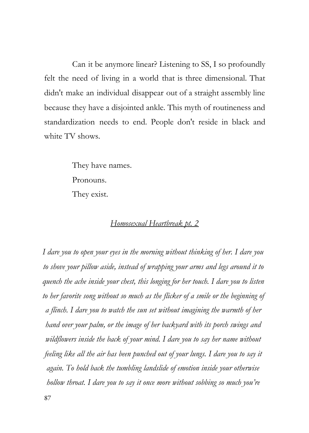Can it be anymore linear? Listening to SS, I so profoundly felt the need of living in a world that is three dimensional. That didn't make an individual disappear out of a straight assembly line because they have a disjointed ankle. This myth of routineness and standardization needs to end. People don't reside in black and white TV shows.

> They have names. Pronouns. They exist.

#### *Homosexual Heartbreak pt. 2*

*I dare you to open your eyes in the morning without thinking of her. I dare you to shove your pillow aside, instead of wrapping your arms and legs around it to quench the ache inside your chest, this longing for her touch. I dare you to listen to her favorite song without so much as the flicker of a smile or the beginning of a flinch. I dare you to watch the sun set without imagining the warmth of her hand over your palm, or the image of her backyard with its porch swings and wildflowers inside the back of your mind. I dare you to say her name without feeling like all the air has been punched out of your lungs. I dare you to say it again. To hold back the tumbling landslide of emotion inside your otherwise hollow throat. I dare you to say it once more without sobbing so much you're*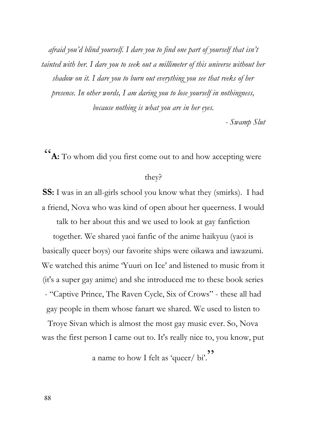*afraid you'd blind yourself. I dare you to find one part of yourself that isn't tainted with her. I dare you to seek out a millimeter of this universe without her shadow on it. I dare you to burn out everything you see that reeks of her presence. In other words, I am daring you to lose yourself in nothingness, because nothing is what you are in her eyes.*

*- Swamp Slut*

"**<sup>A</sup>:** To whom did you first come out to and how accepting were

#### they?

**SS:** I was in an all-girls school you know what they (smirks). I had a friend, Nova who was kind of open about her queerness. I would talk to her about this and we used to look at gay fanfiction

together. We shared yaoi fanfic of the anime haikyuu (yaoi is basically queer boys) our favorite ships were oikawa and iawazumi. We watched this anime 'Yuuri on Ice' and listened to music from it (it's a super gay anime) and she introduced me to these book series - "Captive Prince, The Raven Cycle, Six of Crows" - these all had gay people in them whose fanart we shared. We used to listen to

Troye Sivan which is almost the most gay music ever. So, Nova was the first person I came out to. It's really nice to, you know, put

a name to how I felt as 'queer/ bi'."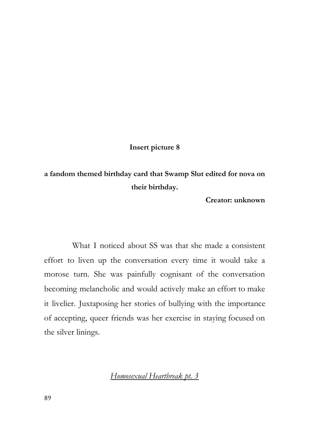#### **Insert picture 8**

#### **a fandom themed birthday card that Swamp Slut edited for nova on their birthday.**

**Creator: unknown**

What I noticed about SS was that she made a consistent effort to liven up the conversation every time it would take a morose turn. She was painfully cognisant of the conversation becoming melancholic and would actively make an effort to make it livelier. Juxtaposing her stories of bullying with the importance of accepting, queer friends was her exercise in staying focused on the silver linings.

*Homosexual Heartbreak pt. 3*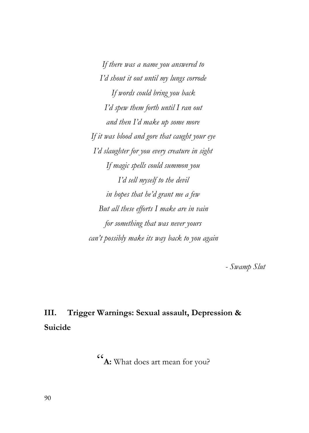*If there was a name you answered to I'd shout it out until my lungs corrode If words could bring you back I'd spew them forth until I ran out and then I'd make up some more If it was blood and gore that caught your eye I'd slaughter for you every creature in sight If magic spells could summon you I'd sell myself to the devil in hopes that he'd grant me a few But all these ef orts I make are in vain for something that was never yours can't possibly make its way back to you again*

*- Swamp Slut*

### **III. Trigger Warnings: Sexual assault, Depression & Suicide**

" **A:** What does art mean for you?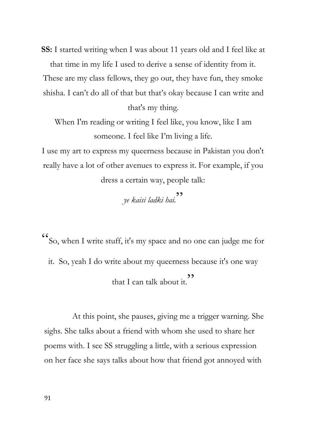**SS:** I started writing when I was about 11 years old and I feel like at that time in my life I used to derive a sense of identity from it. These are my class fellows, they go out, they have fun, they smoke shisha. I can't do all of that but that's okay because I can write and that's my thing.

When I'm reading or writing I feel like, you know, like I am someone. I feel like I'm living a life*.*

I use my art to express my queerness because in Pakistan you don't really have a lot of other avenues to express it. For example, if you dress a certain way, people talk:

### *ye kaisi ladki hai.*"

" So, when I write stuff, it's my space and no one can judge me for it. So, yeah I do write about my queerness because it's one way that I can talk about it.

At this point, she pauses, giving me a trigger warning. She sighs. She talks about a friend with whom she used to share her poems with. I see SS struggling a little, with a serious expression on her face she says talks about how that friend got annoyed with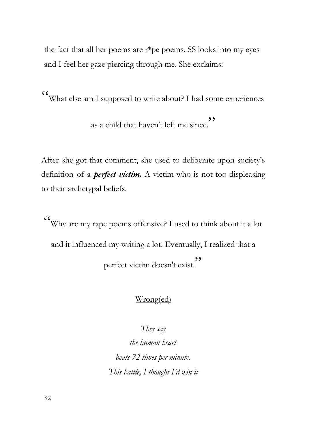the fact that all her poems are r\*pe poems. SS looks into my eyes and I feel her gaze piercing through me. She exclaims:

" What else am I supposed to write about? I had some experiences as <sup>a</sup> child that haven't left me since."

After she got that comment, she used to deliberate upon society's definition of a *perfect victim.* A victim who is not too displeasing to their archetypal beliefs.

" Why are my rape poems offensive? I used to think about it a lot and it influenced my writing a lot. Eventually, I realized that a perfect victim doesn't exist."

#### Wrong(ed)

*They say the human heart beats 72 times per minute. This battle, I thought I'd win it*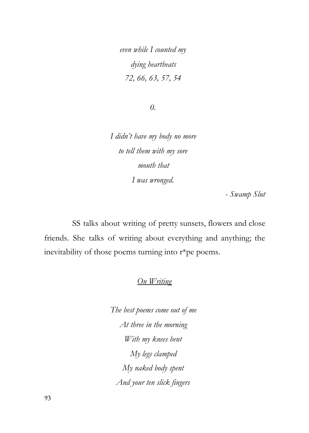*even while I counted my dying heartbeats 72, 66, 63, 57, 54*

*0.*

*I didn't have my body no more to tell them with my sore mouth that I was wronged.*

*- Swamp Slut*

SS talks about writing of pretty sunsets, flowers and close friends. She talks of writing about everything and anything; the inevitability of those poems turning into r\*pe poems.

#### *On Writing*

*The best poems come out of me At three in the morning With my knees bent My legs clamped My naked body spent And your ten slick fingers*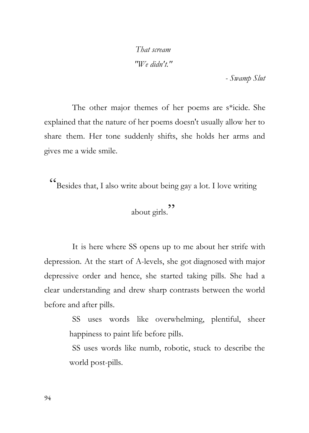### *That scream "We didn't."*

*- Swamp Slut*

The other major themes of her poems are s\*icide. She explained that the nature of her poems doesn't usually allow her to share them. Her tone suddenly shifts, she holds her arms and gives me a wide smile.

" Besides that, I also write about being gay a lot. I love writing

### about girls."

It is here where SS opens up to me about her strife with depression. At the start of A-levels, she got diagnosed with major depressive order and hence, she started taking pills*.* She had a clear understanding and drew sharp contrasts between the world before and after pills.

> SS uses words like overwhelming, plentiful, sheer happiness to paint life before pills.

> SS uses words like numb, robotic, stuck to describe the world post-pills.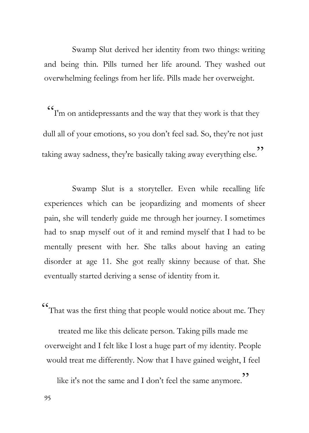Swamp Slut derived her identity from two things: writing and being thin*.* Pills turned her life around. They washed out overwhelming feelings from her life. Pills made her overweight.

" I'm on antidepressants and the way that they work is that they dull all of your emotions, so you don't feel sad. So, they're not just taking away sadness, they're basically taking away everything else."

Swamp Slut is a storyteller. Even while recalling life experiences which can be jeopardizing and moments of sheer pain, she will tenderly guide me through her journey. I sometimes had to snap myself out of it and remind myself that I had to be mentally present with her. She talks about having an eating disorder at age 11. She got really skinny because of that. She eventually started deriving a sense of identity from it.

" That was the first thing that people would notice about me. They

treated me like this delicate person. Taking pills made me overweight and I felt like I lost a huge part of my identity. People would treat me differently. Now that I have gained weight, I feel

like it's not the same and I don't feel the same anymore.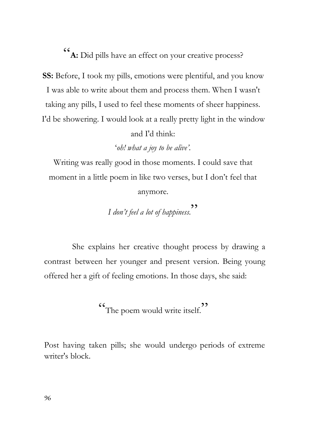$\zeta$   $\zeta$ A: Did pills have an effect on your creative process?

**SS:** Before, I took my pills, emotions were plentiful, and you know I was able to write about them and process them. When I wasn't taking any pills, I used to feel these moments of sheer happiness. I'd be showering. I would look at a really pretty light in the window

#### and I'd think:

'*oh! what a joy to be alive'*.

Writing was really good in those moments. I could save that moment in a little poem in like two verses, but I don't feel that anymore.

*<sup>I</sup> don't feel <sup>a</sup> lot of happiness.*"

She explains her creative thought process by drawing a contrast between her younger and present version. Being young offered her a gift of feeling emotions. In those days, she said:

"The poem would write itself."

Post having taken pills; she would undergo periods of extreme writer's block.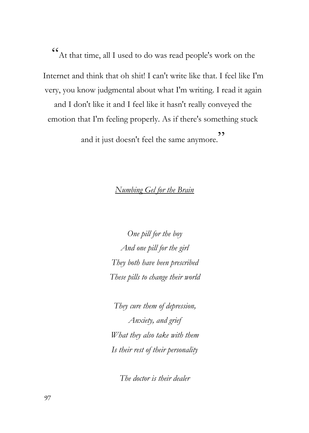" At that time, all I used to do was read people's work on the Internet and think that oh shit! I can't write like that. I feel like I'm very, you know judgmental about what I'm writing. I read it again and I don't like it and I feel like it hasn't really conveyed the emotion that I'm feeling properly. As if there's something stuck and it just doesn't feel the same anymore."

#### *Numbing Gel for the Brain*

*One pill for the boy And one pill for the girl They both have been prescribed These pills to change their world*

*They cure them of depression, Anxiety, and grief What they also take with them Is their rest of their personality*

*The doctor is their dealer*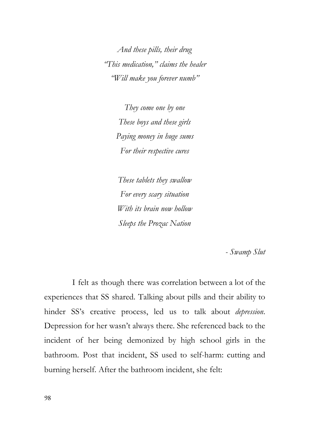*And these pills, their drug "This medication," claims the healer "Will make you forever numb"*

> *They come one by one These boys and these girls Paying money in huge sums For their respective cures*

*These tablets they swallow For every scary situation With its brain now hollow Sleeps the Prozac Nation*

*- Swamp Slut*

I felt as though there was correlation between a lot of the experiences that SS shared. Talking about pills and their ability to hinder SS's creative process, led us to talk about *depression*. Depression for her wasn't always there. She referenced back to the incident of her being demonized by high school girls in the bathroom. Post that incident, SS used to self-harm: cutting and burning herself. After the bathroom incident, she felt: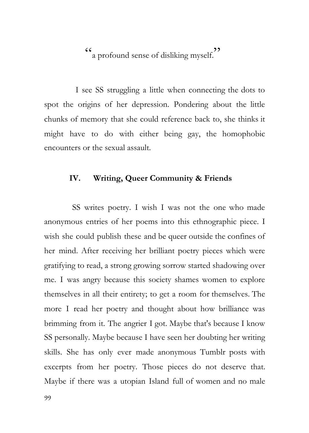" <sup>a</sup> profound sense of disliking myself."

I see SS struggling a little when connecting the dots to spot the origins of her depression. Pondering about the little chunks of memory that she could reference back to, she thinks it might have to do with either being gay, the homophobic encounters or the sexual assault.

#### **IV. Writing, Queer Community & Friends**

SS writes poetry. I wish I was not the one who made anonymous entries of her poems into this ethnographic piece. I wish she could publish these and be queer outside the confines of her mind. After receiving her brilliant poetry pieces which were gratifying to read, a strong growing sorrow started shadowing over me. I was angry because this society shames women to explore themselves in all their entirety; to get a room for themselves. The more I read her poetry and thought about how brilliance was brimming from it. The angrier I got. Maybe that's because I know SS personally. Maybe because I have seen her doubting her writing skills. She has only ever made anonymous Tumblr posts with excerpts from her poetry. Those pieces do not deserve that. Maybe if there was a utopian Island full of women and no male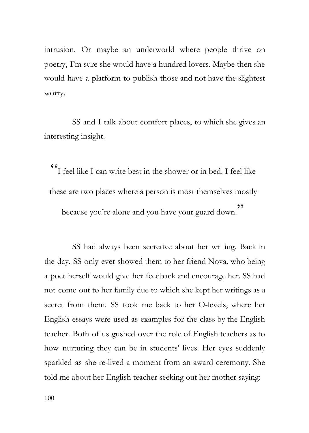intrusion. Or maybe an underworld where people thrive on poetry, I'm sure she would have a hundred lovers. Maybe then she would have a platform to publish those and not have the slightest worry.

SS and I talk about comfort places, to which she gives an interesting insight.

" I feel like I can write best in the shower or in bed. I feel like these are two places where a person is most themselves mostly because you're alone and you have your guard down.

SS had always been secretive about her writing. Back in the day, SS only ever showed them to her friend Nova, who being a poet herself would give her feedback and encourage her. SS had not come out to her family due to which she kept her writings as a secret from them. SS took me back to her O-levels, where her English essays were used as examples for the class by the English teacher. Both of us gushed over the role of English teachers as to how nurturing they can be in students' lives. Her eyes suddenly sparkled as she re-lived a moment from an award ceremony. She told me about her English teacher seeking out her mother saying: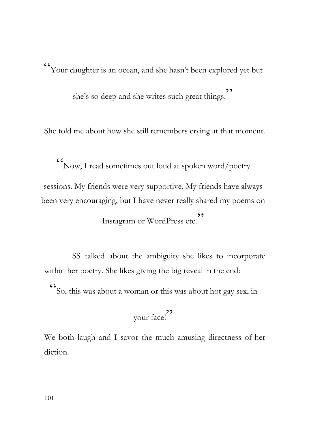" Your daughter is an ocean, and she hasn't been explored yet but she's so deep and she writes such great things."

She told me about how she still remembers crying at that moment.

" Now, I read sometimes out loud at spoken word/poetry sessions. My friends were very supportive. My friends have always been very encouraging, but I have never really shared my poems on

Instagram or WordPress etc.

SS talked about the ambiguity she likes to incorporate within her poetry. She likes giving the big reveal in the end:

" So, this was about a woman or this was about hot gay sex, in

## your face! "

We both laugh and I savor the much amusing directness of her diction.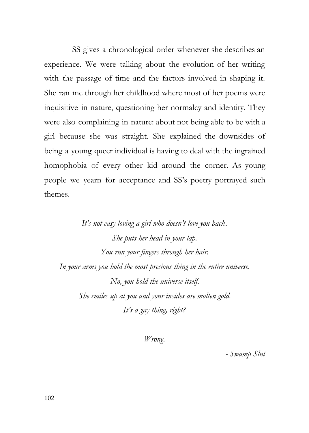SS gives a chronological order whenever she describes an experience. We were talking about the evolution of her writing with the passage of time and the factors involved in shaping it. She ran me through her childhood where most of her poems were inquisitive in nature, questioning her normalcy and identity. They were also complaining in nature: about not being able to be with a girl because she was straight. She explained the downsides of being a young queer individual is having to deal with the ingrained homophobia of every other kid around the corner. As young people we yearn for acceptance and SS's poetry portrayed such themes.

*It's not easy loving a girl who doesn't love you back. She puts her head in your lap. You run your fingers through her hair. In your arms you hold the most precious thing in the entire universe. No, you hold the universe itself. She smiles up at you and your insides are molten gold. It's a gay thing, right?*

*Wrong.*

*- Swamp Slut*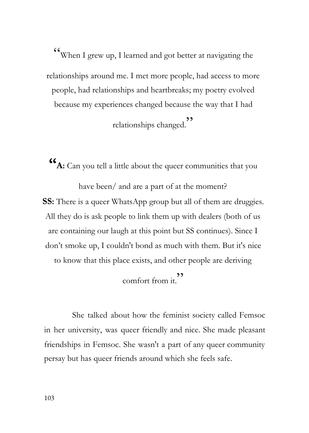" When I grew up, I learned and got better at navigating the relationships around me. I met more people, had access to more people, had relationships and heartbreaks; my poetry evolved because my experiences changed because the way that I had relationships changed."

**"<sup>A</sup>:** Can you tell <sup>a</sup> little about the queer communities that you

have been/ and are a part of at the moment? **SS:** There is a queer WhatsApp group but all of them are druggies. All they do is ask people to link them up with dealers (both of us are containing our laugh at this point but SS continues). Since I don't smoke up, I couldn't bond as much with them. But it's nice to know that this place exists, and other people are deriving

 $\frac{1}{\text{confort from it}}$ 

She talked about how the feminist society called Femsoc in her university, was queer friendly and nice. She made pleasant friendships in Femsoc. She wasn't a part of any queer community persay but has queer friends around which she feels safe.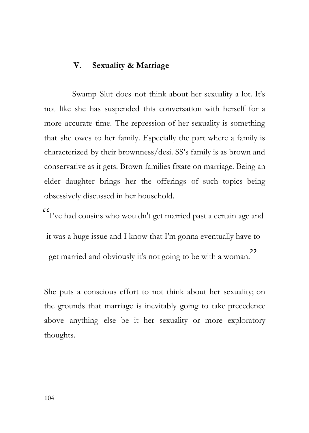#### **V. Sexuality & Marriage**

Swamp Slut does not think about her sexuality a lot. It's not like she has suspended this conversation with herself for a more accurate time. The repression of her sexuality is something that she owes to her family. Especially the part where a family is characterized by their brownness/desi. SS's family is as brown and conservative as it gets. Brown families fixate on marriage. Being an elder daughter brings her the offerings of such topics being obsessively discussed in her household.

" I've had cousins who wouldn't get married past a certain age and it was a huge issue and I know that I'm gonna eventually have to get married and obviously it's not going to be with a woman.

She puts a conscious effort to not think about her sexuality; on the grounds that marriage is inevitably going to take precedence above anything else be it her sexuality or more exploratory thoughts.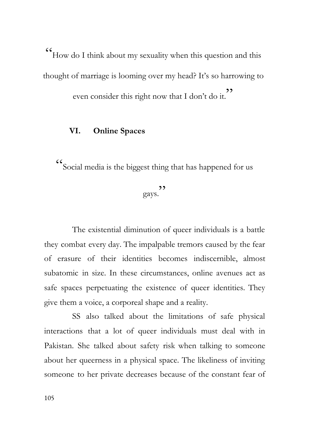$C$ How do I think about my sexuality when this question and this thought of marriage is looming over my head? It's so harrowing to

even consider this right now that <sup>I</sup> don't do it."

#### **VI. Online Spaces**

" Social media is the biggest thing that has happened for us

# gays."

The existential diminution of queer individuals is a battle they combat every day. The impalpable tremors caused by the fear of erasure of their identities becomes indiscernible, almost subatomic in size. In these circumstances, online avenues act as safe spaces perpetuating the existence of queer identities. They give them a voice, a corporeal shape and a reality.

SS also talked about the limitations of safe physical interactions that a lot of queer individuals must deal with in Pakistan. She talked about safety risk when talking to someone about her queerness in a physical space. The likeliness of inviting someone to her private decreases because of the constant fear of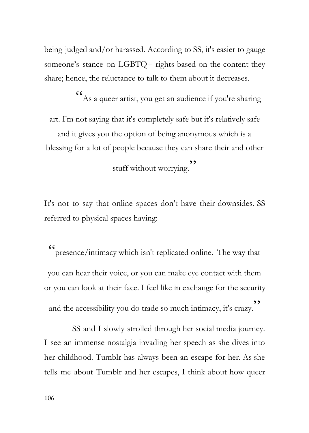being judged and/or harassed. According to SS, it's easier to gauge someone's stance on LGBTQ+ rights based on the content they share; hence, the reluctance to talk to them about it decreases.

" As a queer artist, you get an audience if you're sharing art. I'm not saying that it's completely safe but it's relatively safe and it gives you the option of being anonymous which is a blessing for a lot of people because they can share their and other

stuff without worrying."

It's not to say that online spaces don't have their downsides. SS referred to physical spaces having:

" presence/intimacy which isn't replicated online. The way that you can hear their voice, or you can make eye contact with them or you can look at their face. I feel like in exchange for the security and the accessibility you do trade so much intimacy, it's crazy."

SS and I slowly strolled through her social media journey. I see an immense nostalgia invading her speech as she dives into her childhood. Tumblr has always been an escape for her. As she tells me about Tumblr and her escapes, I think about how queer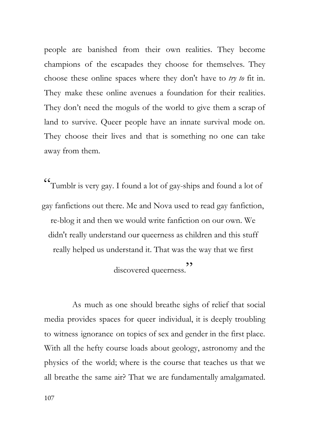people are banished from their own realities. They become champions of the escapades they choose for themselves. They choose these online spaces where they don't have to *try to* fit in. They make these online avenues a foundation for their realities. They don't need the moguls of the world to give them a scrap of land to survive. Queer people have an innate survival mode on. They choose their lives and that is something no one can take away from them.

" Tumblr is very gay. I found a lot of gay-ships and found a lot of gay fanfictions out there. Me and Nova used to read gay fanfiction, re-blog it and then we would write fanfiction on our own. We didn't really understand our queerness as children and this stuff really helped us understand it. That was the way that we first

discovered queerness.<sup>"</sup>

As much as one should breathe sighs of relief that social media provides spaces for queer individual, it is deeply troubling to witness ignorance on topics of sex and gender in the first place. With all the hefty course loads about geology, astronomy and the physics of the world; where is the course that teaches us that we all breathe the same air? That we are fundamentally amalgamated.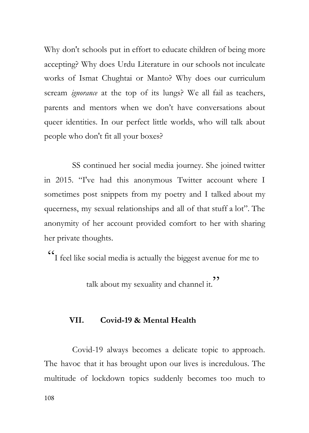Why don't schools put in effort to educate children of being more accepting? Why does Urdu Literature in our schools not inculcate works of Ismat Chughtai or Manto? Why does our curriculum scream *ignorance* at the top of its lungs? We all fail as teachers, parents and mentors when we don't have conversations about queer identities. In our perfect little worlds, who will talk about people who don't fit all your boxes?

SS continued her social media journey. She joined twitter in 2015. "I've had this anonymous Twitter account where I sometimes post snippets from my poetry and I talked about my queerness, my sexual relationships and all of that stuff a lot". The anonymity of her account provided comfort to her with sharing her private thoughts.

" I feel like social media is actually the biggest avenue for me to

talk about my sexuality and channel it."

#### **VII. Covid-19 & Mental Health**

Covid-19 always becomes a delicate topic to approach. The havoc that it has brought upon our lives is incredulous. The multitude of lockdown topics suddenly becomes too much to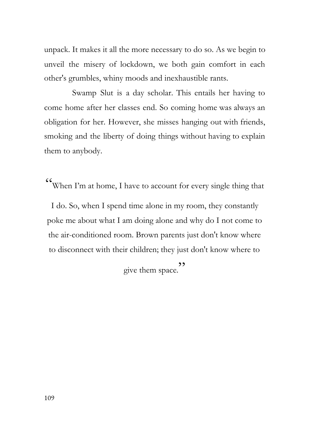unpack. It makes it all the more necessary to do so. As we begin to unveil the misery of lockdown, we both gain comfort in each other's grumbles, whiny moods and inexhaustible rants.

Swamp Slut is a day scholar. This entails her having to come home after her classes end. So coming home was always an obligation for her. However, she misses hanging out with friends, smoking and the liberty of doing things without having to explain them to anybody.

" When I'm at home, I have to account for every single thing that

I do. So, when I spend time alone in my room, they constantly poke me about what I am doing alone and why do I not come to the air-conditioned room. Brown parents just don't know where to disconnect with their children; they just don't know where to

give them space."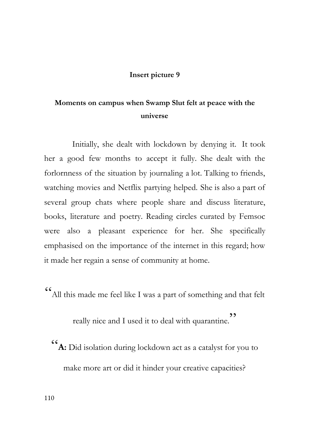#### **Insert picture 9**

# **Moments on campus when Swamp Slut felt at peace with the universe**

Initially, she dealt with lockdown by denying it. It took her a good few months to accept it fully. She dealt with the forlornness of the situation by journaling a lot. Talking to friends, watching movies and Netflix partying helped. She is also a part of several group chats where people share and discuss literature, books, literature and poetry. Reading circles curated by Femsoc were also a pleasant experience for her. She specifically emphasised on the importance of the internet in this regard; how it made her regain a sense of community at home.

" All this made me feel like I was a part of something and that felt

really nice and I used it to deal with quarantine."

"**<sup>A</sup>:** Did isolation during lockdown act as <sup>a</sup> catalyst for you to make more art or did it hinder your creative capacities?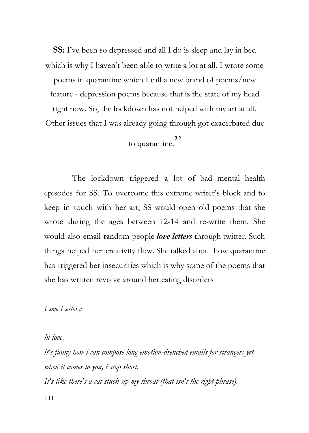**SS:** I've been so depressed and all I do is sleep and lay in bed which is why I haven't been able to write a lot at all. I wrote some poems in quarantine which I call a new brand of poems/new feature - depression poems because that is the state of my head right now. So, the lockdown has not helped with my art at all. Other issues that I was already going through got exacerbated due

# to quarantine."

The lockdown triggered a lot of bad mental health episodes for SS. To overcome this extreme writer's block and to keep in touch with her art, SS would open old poems that she wrote during the ages between 12-14 and re-write them. She would also email random people *love letters* through twitter. Such things helped her creativity flow. She talked about how quarantine has triggered her insecurities which is why some of the poems that she has written revolve around her eating disorders

## *Love Letters:*

*hi love,*

*it's funny how i can compose long emotion-drenched emails for strangers yet when it comes to you, i stop short. It's like there's a cat stuck up my throat (that isn't the right phrase).*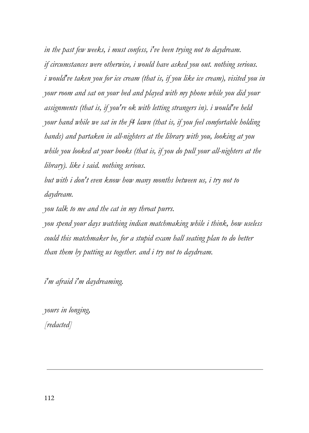*in the past few weeks, i must confess, i've been trying not to daydream. if circumstances were otherwise, i would have asked you out. nothing serious. i would've taken you for ice cream (that is, if you like ice cream), visited you in your room and sat on your bed and played with my phone while you did your assignments (that is, if you're ok with letting strangers in). i would've held your hand while we sat in the f4 lawn (that is, if you feel comfortable holding hands) and partaken in all-nighters at the library with you, looking at you while you looked at your books (that is, if you do pull your all-nighters at the library). like i said. nothing serious.*

*but with i don't even know how many months between us, i try not to daydream.*

*you talk to me and the cat in my throat purrs.*

*you spend your days watching indian matchmaking while i think, how useless could this matchmaker be, for a stupid exam hall seating plan to do better than them by putting us together. and i try not to daydream.*

*i'm afraid i'm daydreaming.*

*yours in longing, [redacted]*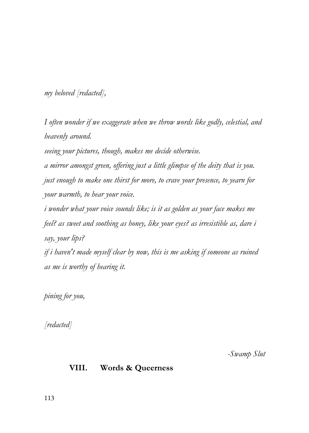*my beloved [redacted],*

*I often wonder if we exaggerate when we throw words like godly, celestial, and heavenly around.*

*seeing your pictures, though, makes me decide otherwise.*

*a mirror amongst green, of ering just a little glimpse of the deity that is you. just enough to make one thirst for more, to crave your presence, to yearn for your warmth, to hear your voice.*

*i wonder what your voice sounds like; is it as golden as your face makes me feel? as sweet and soothing as honey, like your eyes? as irresistible as, dare i say, your lips?*

*if i haven't made myself clear by now, this is me asking if someone as ruined as me is worthy of hearing it.*

*pining for you,*

*[redacted]*

*-Swamp Slut*

## **VIII. Words & Queerness**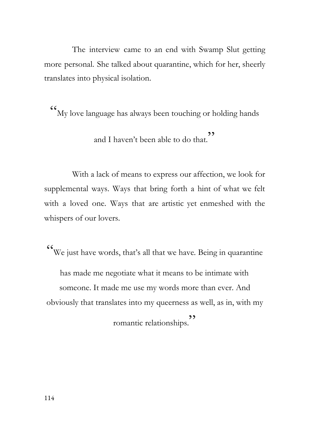The interview came to an end with Swamp Slut getting more personal. She talked about quarantine, which for her, sheerly translates into physical isolation.

" My love language has always been touching or holding hands

and <sup>I</sup> haven't been able to do that."

With a lack of means to express our affection, we look for supplemental ways. Ways that bring forth a hint of what we felt with a loved one. Ways that are artistic yet enmeshed with the whispers of our lovers.

" We just have words, that's all that we have*.* Being in quarantine has made me negotiate what it means to be intimate with someone. It made me use my words more than ever. And obviously that translates into my queerness as well, as in, with my romantic relationships."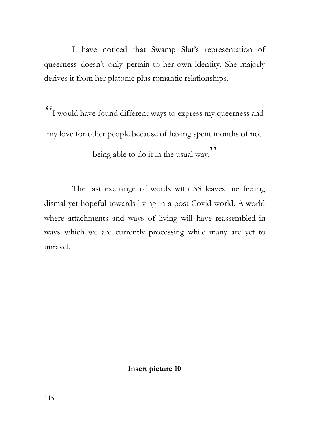I have noticed that Swamp Slut's representation of queerness doesn't only pertain to her own identity. She majorly derives it from her platonic plus romantic relationships.

" I would have found different ways to express my queerness and my love for other people because of having spent months of not being able to do it in the usual way."

The last exchange of words with SS leaves me feeling dismal yet hopeful towards living in a post-Covid world. A world where attachments and ways of living will have reassembled in ways which we are currently processing while many are yet to unravel.

#### **Insert picture 10**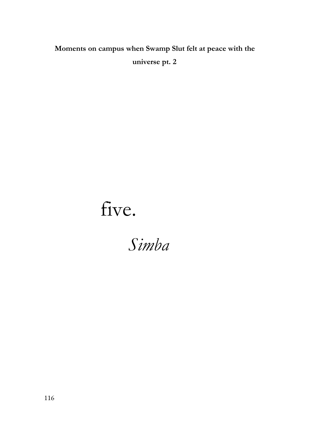**Moments on campus when Swamp Slut felt at peace with the universe pt. 2**

# five.

*Simba*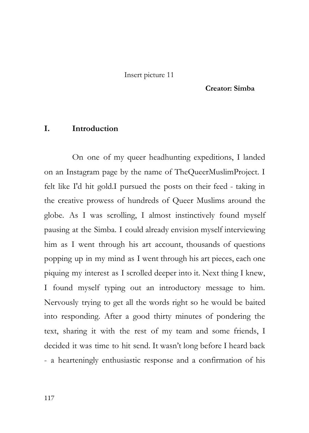#### **Creator: Simba**

#### **I. Introduction**

On one of my queer headhunting expeditions, I landed on an Instagram page by the name of TheQueerMuslimProject. I felt like I'd hit gold.I pursued the posts on their feed - taking in the creative prowess of hundreds of Queer Muslims around the globe. As I was scrolling, I almost instinctively found myself pausing at the Simba. I could already envision myself interviewing him as I went through his art account, thousands of questions popping up in my mind as I went through his art pieces, each one piquing my interest as I scrolled deeper into it. Next thing I knew, I found myself typing out an introductory message to him. Nervously trying to get all the words right so he would be baited into responding. After a good thirty minutes of pondering the text, sharing it with the rest of my team and some friends, I decided it was time to hit send. It wasn't long before I heard back - a hearteningly enthusiastic response and a confirmation of his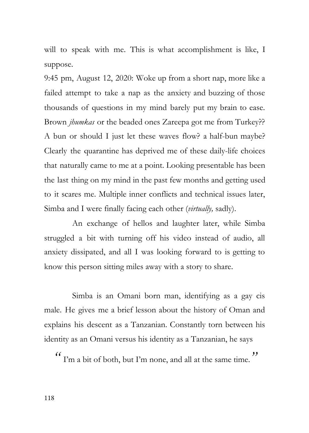will to speak with me. This is what accomplishment is like, I suppose.

9:45 pm, August 12, 2020: Woke up from a short nap, more like a failed attempt to take a nap as the anxiety and buzzing of those thousands of questions in my mind barely put my brain to ease. Brown *jhumkas* or the beaded ones Zareepa got me from Turkey?? A bun or should I just let these waves flow? a half-bun maybe? Clearly the quarantine has deprived me of these daily-life choices that naturally came to me at a point. Looking presentable has been the last thing on my mind in the past few months and getting used to it scares me. Multiple inner conflicts and technical issues later, Simba and I were finally facing each other (*virtually,* sadly).

An exchange of hellos and laughter later, while Simba struggled a bit with turning off his video instead of audio, all anxiety dissipated, and all I was looking forward to is getting to know this person sitting miles away with a story to share.

Simba is an Omani born man, identifying as a gay cis male. He gives me a brief lesson about the history of Oman and explains his descent as a Tanzanian. Constantly torn between his identity as an Omani versus his identity as a Tanzanian, he says

*"* I'm a bit of both, but I'm none, and all at the same time.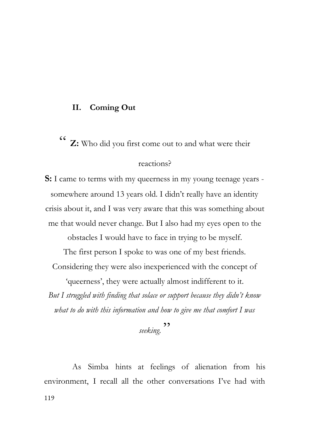### **II. Coming Out**

" **Z:** Who did you first come out to and what were their

#### reactions?

**S:** I came to terms with my queerness in my young teenage years somewhere around 13 years old. I didn't really have an identity crisis about it, and I was very aware that this was something about me that would never change. But I also had my eyes open to the

obstacles I would have to face in trying to be myself.

The first person I spoke to was one of my best friends. Considering they were also inexperienced with the concept of

'queerness', they were actually almost indifferent to it. *But I struggled with finding that solace or support because they didn't know what to do with this information and how to give me that comfort I was*

*seeking.* "

As Simba hints at feelings of alienation from his environment, I recall all the other conversations I've had with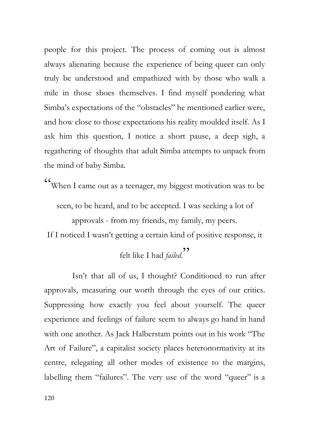people for this project. The process of coming out is almost always alienating because the experience of being queer can only truly be understood and empathized with by those who walk a mile in those shoes themselves. I find myself pondering what Simba's expectations of the "obstacles" he mentioned earlier were, and how close to those expectations his reality moulded itself. As I ask him this question, I notice a short pause, a deep sigh, a regathering of thoughts that adult Simba attempts to unpack from the mind of baby Simba.

" When I came out as a teenager, my biggest motivation was to be

seen, to be heard, and to be accepted. I was seeking a lot of approvals - from my friends, my family, my peers.

If I noticed I wasn't getting a certain kind of positive response, it

# felt like <sup>I</sup> had *failed*."

Isn't that all of us, I thought? Conditioned to run after approvals, measuring our worth through the eyes of our critics. Suppressing how exactly you feel about yourself. The queer experience and feelings of failure seem to always go hand in hand with one another. As Jack Halberstam points out in his work "The Art of Failure", a capitalist society places heteronormativity at its centre, relegating all other modes of existence to the margins, labelling them "failures". The very use of the word "queer" is a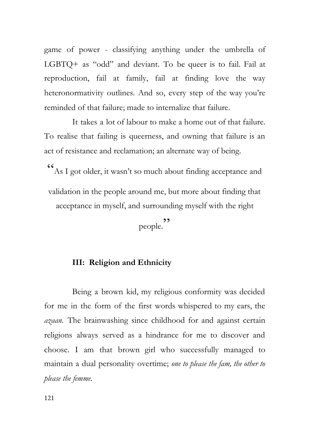game of power - classifying anything under the umbrella of LGBTQ+ as "odd" and deviant. To be queer is to fail. Fail at reproduction, fail at family, fail at finding love the way heteronormativity outlines. And so, every step of the way you're reminded of that failure; made to internalize that failure.

It takes a lot of labour to make a home out of that failure. To realise that failing is queerness, and owning that failure is an act of resistance and reclamation; an alternate way of being.

 $66$ As I got older, it wasn't so much about finding acceptance and

validation in the people around me, but more about finding that acceptance in myself, and surrounding myself with the right

people."

## **III: Religion and Ethnicity**

Being a brown kid, my religious conformity was decided for me in the form of the first words whispered to my ears, the *azaan.* The brainwashing since childhood for and against certain religions always served as a hindrance for me to discover and choose. I am that brown girl who successfully managed to maintain a dual personality overtime; *one to please the fam, the other to please the femme.*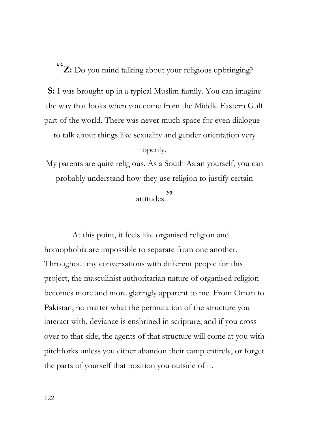"**Z:** Do you mind talking about your religious upbringing?

**S:** I was brought up in a typical Muslim family. You can imagine the way that looks when you come from the Middle Eastern Gulf part of the world. There was never much space for even dialogue -

to talk about things like sexuality and gender orientation very

openly.

My parents are quite religious. As a South Asian yourself, you can probably understand how they use religion to justify certain

# attitudes?

At this point, it feels like organised religion and homophobia are impossible to separate from one another. Throughout my conversations with different people for this project, the masculinist authoritarian nature of organised religion becomes more and more glaringly apparent to me. From Oman to Pakistan, no matter what the permutation of the structure you interact with, deviance is enshrined in scripture, and if you cross over to that side, the agents of that structure will come at you with pitchforks unless you either abandon their camp entirely, or forget the parts of yourself that position you outside of it.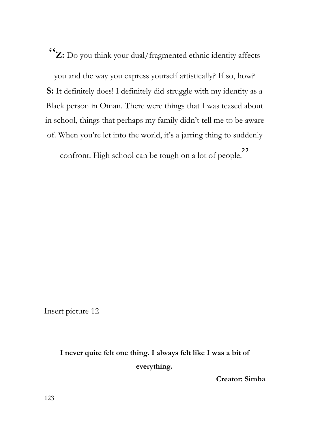"**Z:** Do you think your dual/fragmented ethnic identity affects

you and the way you express yourself artistically? If so, how? **S:** It definitely does! I definitely did struggle with my identity as a Black person in Oman. There were things that I was teased about in school, things that perhaps my family didn't tell me to be aware of. When you're let into the world, it's a jarring thing to suddenly

confront. High school can be tough on a lot of people."

Insert picture 12

**I never quite felt one thing. I always felt like I was a bit of everything.**

**Creator: Simba**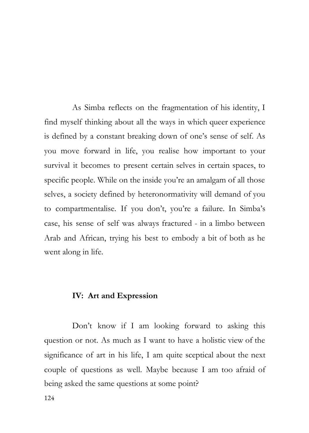As Simba reflects on the fragmentation of his identity, I find myself thinking about all the ways in which queer experience is defined by a constant breaking down of one's sense of self. As you move forward in life, you realise how important to your survival it becomes to present certain selves in certain spaces, to specific people. While on the inside you're an amalgam of all those selves, a society defined by heteronormativity will demand of you to compartmentalise. If you don't, you're a failure. In Simba's case, his sense of self was always fractured - in a limbo between Arab and African, trying his best to embody a bit of both as he went along in life.

#### **IV: Art and Expression**

Don't know if I am looking forward to asking this question or not. As much as I want to have a holistic view of the significance of art in his life, I am quite sceptical about the next couple of questions as well. Maybe because I am too afraid of being asked the same questions at some point?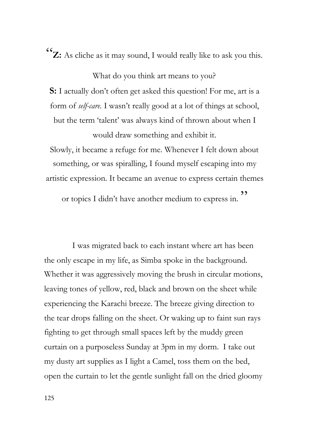"**Z:** As cliche as it may sound, <sup>I</sup> would really like to ask you this.

What do you think art means to you? **S:** I actually don't often get asked this question! For me, art is a form of *self-care.* I wasn't really good at a lot of things at school, but the term 'talent' was always kind of thrown about when I would draw something and exhibit it.

Slowly, it became a refuge for me. Whenever I felt down about something, or was spiralling, I found myself escaping into my artistic expression. It became an avenue to express certain themes or topics I didn't have another medium to express in.

I was migrated back to each instant where art has been the only escape in my life, as Simba spoke in the background. Whether it was aggressively moving the brush in circular motions, leaving tones of yellow, red, black and brown on the sheet while experiencing the Karachi breeze. The breeze giving direction to the tear drops falling on the sheet. Or waking up to faint sun rays fighting to get through small spaces left by the muddy green curtain on a purposeless Sunday at 3pm in my dorm. I take out my dusty art supplies as I light a Camel, toss them on the bed, open the curtain to let the gentle sunlight fall on the dried gloomy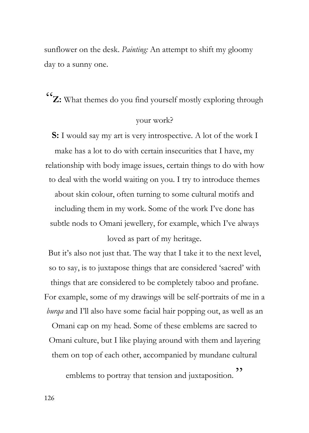sunflower on the desk. *Painting:* An attempt to shift my gloomy day to a sunny one.

"**Z:** What themes do you find yourself mostly exploring through your work?

**S:** I would say my art is very introspective. A lot of the work I make has a lot to do with certain insecurities that I have, my relationship with body image issues, certain things to do with how to deal with the world waiting on you. I try to introduce themes about skin colour, often turning to some cultural motifs and including them in my work. Some of the work I've done has subtle nods to Omani jewellery, for example, which I've always loved as part of my heritage.

But it's also not just that. The way that I take it to the next level, so to say, is to juxtapose things that are considered 'sacred' with things that are considered to be completely taboo and profane. For example, some of my drawings will be self-portraits of me in a *burqa* and I'll also have some facial hair popping out, as well as an Omani cap on my head. Some of these emblems are sacred to Omani culture, but I like playing around with them and layering them on top of each other, accompanied by mundane cultural

emblems to portray that tension and juxtaposition. "

126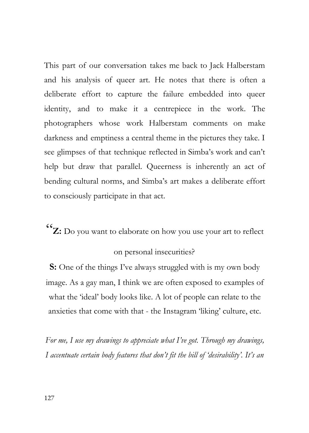This part of our conversation takes me back to Jack Halberstam and his analysis of queer art. He notes that there is often a deliberate effort to capture the failure embedded into queer identity, and to make it a centrepiece in the work. The photographers whose work Halberstam comments on make darkness and emptiness a central theme in the pictures they take. I see glimpses of that technique reflected in Simba's work and can't help but draw that parallel. Queerness is inherently an act of bending cultural norms, and Simba's art makes a deliberate effort to consciously participate in that act.

"**Z:** Do you want to elaborate on how you use your art to reflect

## on personal insecurities?

**S:** One of the things I've always struggled with is my own body image. As a gay man, I think we are often exposed to examples of what the 'ideal' body looks like. A lot of people can relate to the anxieties that come with that - the Instagram 'liking' culture, etc.

*For me, I use my drawings to appreciate what I've got. Through my drawings, I accentuate certain body features that don't fit the bill of 'desirability'. It's an*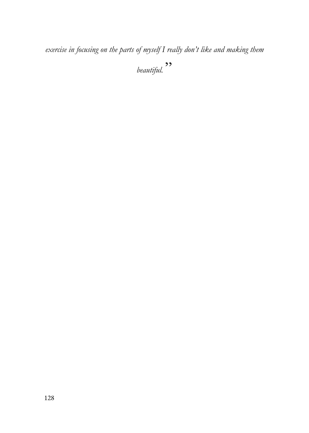*exercise in focusing on the parts of myself I really don't like and making them*

*beautiful.* "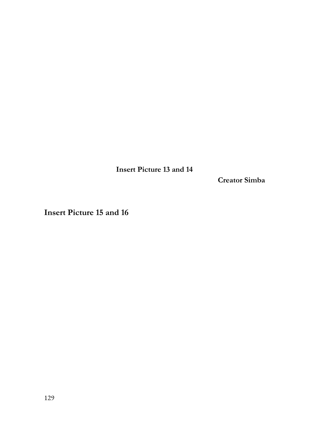**Insert Picture 13 and 14**

**Creator Simba**

**Insert Picture 15 and 16**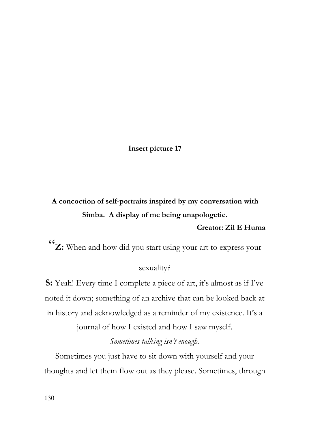**Insert picture 17**

**A concoction of self-portraits inspired by my conversation with Simba. A display of me being unapologetic.**

### **Creator: Zil E Huma**

"**Z:** When and how did you start using your art to express your

# sexuality?

**S:** Yeah! Every time I complete a piece of art, it's almost as if I've noted it down; something of an archive that can be looked back at in history and acknowledged as a reminder of my existence. It's a journal of how I existed and how I saw myself.

# *Sometimes talking isn't enough.*

Sometimes you just have to sit down with yourself and your thoughts and let them flow out as they please. Sometimes, through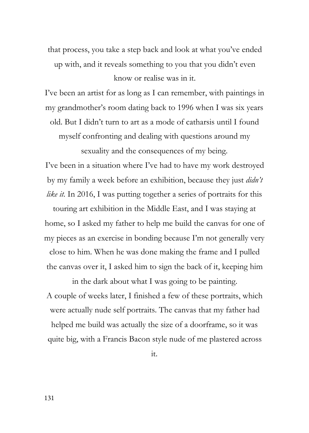that process, you take a step back and look at what you've ended up with, and it reveals something to you that you didn't even know or realise was in it.

I've been an artist for as long as I can remember, with paintings in my grandmother's room dating back to 1996 when I was six years old. But I didn't turn to art as a mode of catharsis until I found myself confronting and dealing with questions around my

sexuality and the consequences of my being. I've been in a situation where I've had to have my work destroyed by my family a week before an exhibition, because they just *didn't like it.* In 2016, I was putting together a series of portraits for this touring art exhibition in the Middle East, and I was staying at home, so I asked my father to help me build the canvas for one of my pieces as an exercise in bonding because I'm not generally very close to him. When he was done making the frame and I pulled the canvas over it, I asked him to sign the back of it, keeping him

in the dark about what I was going to be painting. A couple of weeks later, I finished a few of these portraits, which were actually nude self portraits. The canvas that my father had helped me build was actually the size of a doorframe, so it was quite big, with a Francis Bacon style nude of me plastered across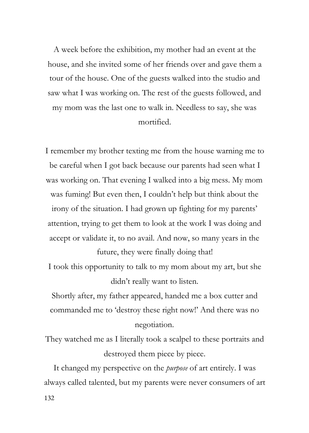A week before the exhibition, my mother had an event at the house, and she invited some of her friends over and gave them a tour of the house. One of the guests walked into the studio and saw what I was working on. The rest of the guests followed, and my mom was the last one to walk in. Needless to say, she was mortified.

I remember my brother texting me from the house warning me to be careful when I got back because our parents had seen what I was working on. That evening I walked into a big mess. My mom was fuming! But even then, I couldn't help but think about the irony of the situation. I had grown up fighting for my parents' attention, trying to get them to look at the work I was doing and accept or validate it, to no avail. And now, so many years in the future, they were finally doing that!

I took this opportunity to talk to my mom about my art, but she didn't really want to listen.

Shortly after, my father appeared, handed me a box cutter and commanded me to 'destroy these right now!' And there was no negotiation.

They watched me as I literally took a scalpel to these portraits and destroyed them piece by piece.

It changed my perspective on the *purpose* of art entirely. I was always called talented, but my parents were never consumers of art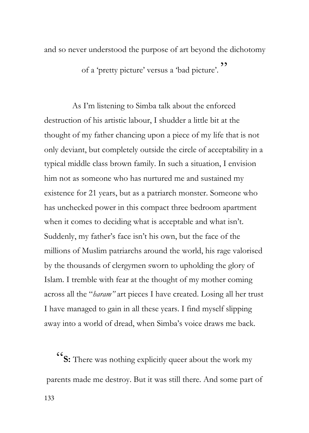and so never understood the purpose of art beyond the dichotomy

of <sup>a</sup> 'pretty picture' versus <sup>a</sup> 'bad picture'. "

As I'm listening to Simba talk about the enforced destruction of his artistic labour, I shudder a little bit at the thought of my father chancing upon a piece of my life that is not only deviant, but completely outside the circle of acceptability in a typical middle class brown family. In such a situation, I envision him not as someone who has nurtured me and sustained my existence for 21 years, but as a patriarch monster. Someone who has unchecked power in this compact three bedroom apartment when it comes to deciding what is acceptable and what isn't. Suddenly, my father's face isn't his own, but the face of the millions of Muslim patriarchs around the world, his rage valorised by the thousands of clergymen sworn to upholding the glory of Islam. I tremble with fear at the thought of my mother coming across all the "*haram"* art pieces I have created. Losing all her trust I have managed to gain in all these years. I find myself slipping away into a world of dread, when Simba's voice draws me back.

"**S:** There was nothing explicitly queer about the work my parents made me destroy. But it was still there. And some part of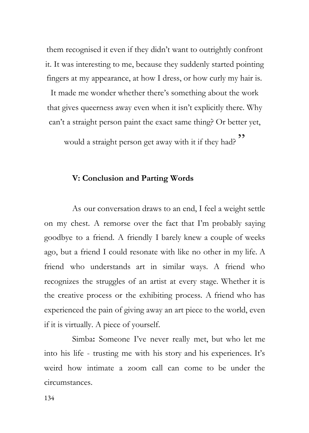them recognised it even if they didn't want to outrightly confront it. It was interesting to me, because they suddenly started pointing fingers at my appearance, at how I dress, or how curly my hair is.

It made me wonder whether there's something about the work that gives queerness away even when it isn't explicitly there. Why can't a straight person paint the exact same thing? Or better yet,

would a straight person get away with it if they had?"

#### **V: Conclusion and Parting Words**

As our conversation draws to an end, I feel a weight settle on my chest. A remorse over the fact that I'm probably saying goodbye to a friend. A friendly I barely knew a couple of weeks ago, but a friend I could resonate with like no other in my life. A friend who understands art in similar ways. A friend who recognizes the struggles of an artist at every stage. Whether it is the creative process or the exhibiting process. A friend who has experienced the pain of giving away an art piece to the world, even if it is virtually. A piece of yourself.

Simba**:** Someone I've never really met, but who let me into his life - trusting me with his story and his experiences. It's weird how intimate a zoom call can come to be under the circumstances.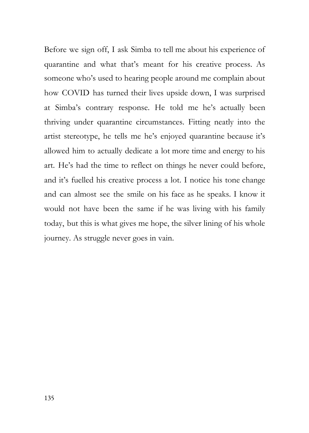Before we sign off, I ask Simba to tell me about his experience of quarantine and what that's meant for his creative process. As someone who's used to hearing people around me complain about how COVID has turned their lives upside down, I was surprised at Simba's contrary response. He told me he's actually been thriving under quarantine circumstances. Fitting neatly into the artist stereotype, he tells me he's enjoyed quarantine because it's allowed him to actually dedicate a lot more time and energy to his art. He's had the time to reflect on things he never could before, and it's fuelled his creative process a lot. I notice his tone change and can almost see the smile on his face as he speaks. I know it would not have been the same if he was living with his family today, but this is what gives me hope, the silver lining of his whole journey. As struggle never goes in vain.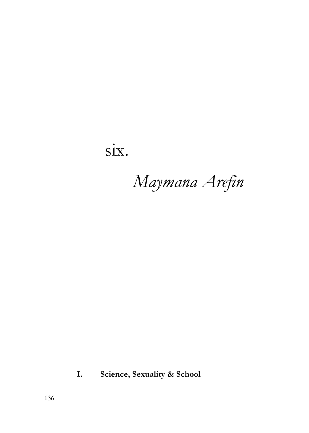six.

# *Maymana Arefin*

**I. Science, Sexuality & School**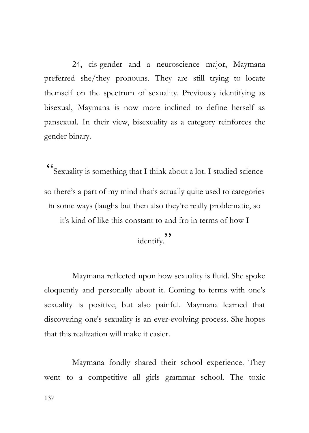24, cis-gender and a neuroscience major, Maymana preferred she/they pronouns. They are still trying to locate themself on the spectrum of sexuality. Previously identifying as bisexual, Maymana is now more inclined to define herself as pansexual. In their view, bisexuality as a category reinforces the gender binary.

" Sexuality is something that I think about a lot. I studied science so there's a part of my mind that's actually quite used to categories in some ways (laughs but then also they're really problematic, so it's kind of like this constant to and fro in terms of how I

# identify."

Maymana reflected upon how sexuality is fluid. She spoke eloquently and personally about it. Coming to terms with one's sexuality is positive, but also painful. Maymana learned that discovering one's sexuality is an ever-evolving process. She hopes that this realization will make it easier.

Maymana fondly shared their school experience. They went to a competitive all girls grammar school. The toxic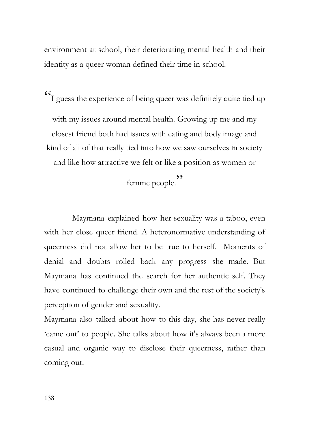environment at school, their deteriorating mental health and their identity as a queer woman defined their time in school.

" I guess the experience of being queer was definitely quite tied up with my issues around mental health. Growing up me and my closest friend both had issues with eating and body image and kind of all of that really tied into how we saw ourselves in society and like how attractive we felt or like a position as women or

femme people."

Maymana explained how her sexuality was a taboo, even with her close queer friend. A heteronormative understanding of queerness did not allow her to be true to herself. Moments of denial and doubts rolled back any progress she made. But Maymana has continued the search for her authentic self. They have continued to challenge their own and the rest of the society's perception of gender and sexuality.

Maymana also talked about how to this day, she has never really 'came out' to people. She talks about how it's always been a more casual and organic way to disclose their queerness, rather than coming out.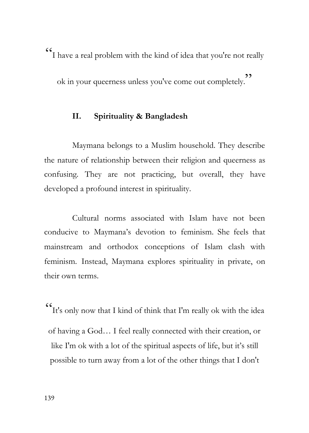$\zeta$   $\zeta$ I have a real problem with the kind of idea that you're not really

ok in your queerness unless you've come out completely."

#### **II. Spirituality & Bangladesh**

Maymana belongs to a Muslim household. They describe the nature of relationship between their religion and queerness as confusing*.* They are not practicing, but overall, they have developed a profound interest in spirituality.

Cultural norms associated with Islam have not been conducive to Maymana's devotion to feminism. She feels that mainstream and orthodox conceptions of Islam clash with feminism. Instead, Maymana explores spirituality in private, on their own terms.

" It's only now that I kind of think that I'm really ok with the idea of having a God… I feel really connected with their creation, or like I'm ok with a lot of the spiritual aspects of life, but it's still possible to turn away from a lot of the other things that I don't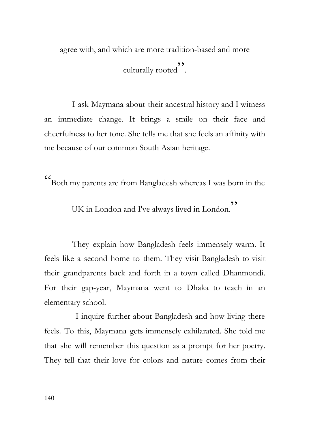agree with, and which are more tradition-based and more culturally rooted ".

I ask Maymana about their ancestral history and I witness an immediate change. It brings a smile on their face and cheerfulness to her tone. She tells me that she feels an affinity with me because of our common South Asian heritage.

" Both my parents are from Bangladesh whereas I was born in the

UK in London and I've always lived in London.

They explain how Bangladesh feels immensely warm. It feels like a second home to them. They visit Bangladesh to visit their grandparents back and forth in a town called Dhanmondi. For their gap-year, Maymana went to Dhaka to teach in an elementary school.

I inquire further about Bangladesh and how living there feels. To this, Maymana gets immensely exhilarated. She told me that she will remember this question as a prompt for her poetry. They tell that their love for colors and nature comes from their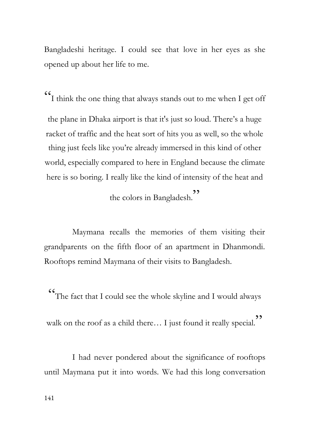Bangladeshi heritage. I could see that love in her eyes as she opened up about her life to me.

" I think the one thing that always stands out to me when I get off the plane in Dhaka airport is that it's just so loud. There's a huge racket of traffic and the heat sort of hits you as well, so the whole thing just feels like you're already immersed in this kind of other world, especially compared to here in England because the climate here is so boring. I really like the kind of intensity of the heat and

the colors in Bangladesh."

Maymana recalls the memories of them visiting their grandparents on the fifth floor of an apartment in Dhanmondi. Rooftops remind Maymana of their visits to Bangladesh.

" The fact that I could see the whole skyline and I would always walk on the roof as a child there... I just found it really special."

I had never pondered about the significance of rooftops until Maymana put it into words. We had this long conversation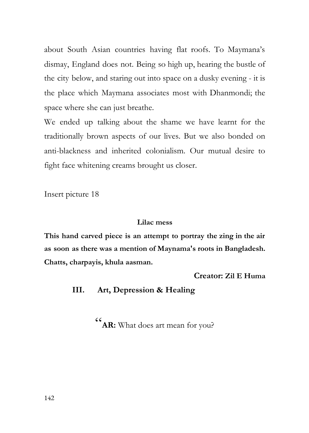about South Asian countries having flat roofs. To Maymana's dismay, England does not. Being so high up, hearing the bustle of the city below, and staring out into space on a dusky evening - it is the place which Maymana associates most with Dhanmondi; the space where she can just breathe.

We ended up talking about the shame we have learnt for the traditionally brown aspects of our lives. But we also bonded on anti-blackness and inherited colonialism. Our mutual desire to fight face whitening creams brought us closer.

Insert picture 18

#### **Lilac mess**

**This hand carved piece is an attempt to portray the zing in the air as soon as there was a mention of Maynama's roots in Bangladesh. Chatts, charpayis, khula aasman.**

#### **Creator: Zil E Huma**

#### **III. Art, Depression & Healing**

" **AR:** What does art mean for you?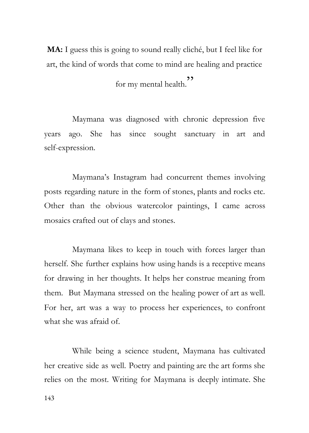**MA:** I guess this is going to sound really cliché, but I feel like for art, the kind of words that come to mind are healing and practice

for my mental health."

Maymana was diagnosed with chronic depression five years ago. She has since sought sanctuary in art and self-expression.

Maymana's Instagram had concurrent themes involving posts regarding nature in the form of stones, plants and rocks etc. Other than the obvious watercolor paintings, I came across mosaics crafted out of clays and stones.

Maymana likes to keep in touch with forces larger than herself. She further explains how using hands is a receptive means for drawing in her thoughts. It helps her construe meaning from them. But Maymana stressed on the healing power of art as well. For her, art was a way to process her experiences, to confront what she was afraid of.

While being a science student, Maymana has cultivated her creative side as well. Poetry and painting are the art forms she relies on the most. Writing for Maymana is deeply intimate. She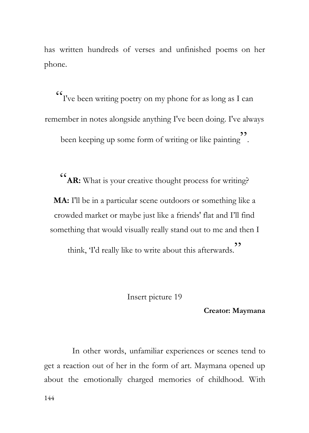has written hundreds of verses and unfinished poems on her phone.

" I've been writing poetry on my phone for as long as I can remember in notes alongside anything I've been doing. I've always been keeping up some form of writing or like painting ".

" **AR:** What is your creative thought process for writing? **MA:** I'll be in a particular scene outdoors or something like a crowded market or maybe just like a friends' flat and I'll find something that would visually really stand out to me and then I think, 'I'd really like to write about this afterwards.

Insert picture 19

#### **Creator: Maymana**

In other words, unfamiliar experiences or scenes tend to get a reaction out of her in the form of art. Maymana opened up about the emotionally charged memories of childhood. With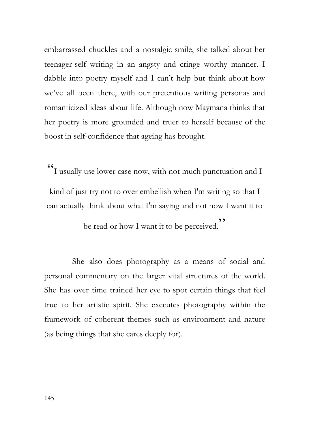embarrassed chuckles and a nostalgic smile, she talked about her teenager-self writing in an angsty and cringe worthy manner. I dabble into poetry myself and I can't help but think about how we've all been there, with our pretentious writing personas and romanticized ideas about life. Although now Maymana thinks that her poetry is more grounded and truer to herself because of the boost in self-confidence that ageing has brought.

" I usually use lower case now, with not much punctuation and I

kind of just try not to over embellish when I'm writing so that I can actually think about what I'm saying and not how I want it to

be read or how I want it to be perceived."

She also does photography as a means of social and personal commentary on the larger vital structures of the world. She has over time trained her eye to spot certain things that feel true to her artistic spirit. She executes photography within the framework of coherent themes such as environment and nature (as being things that she cares deeply for).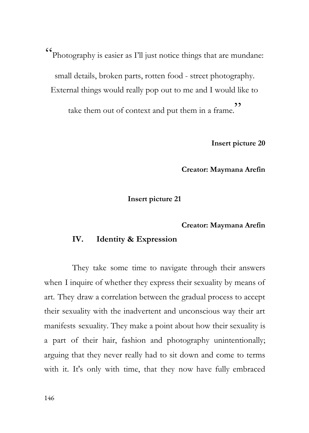$\zeta \zeta$ Photography is easier as I'll just notice things that are mundane: small details, broken parts, rotten food - street photography. External things would really pop out to me and I would like to take them out of context and put them in a frame.

**Insert picture 20**

**Creator: Maymana Arefin**

**Insert picture 21**

#### **Creator: Maymana Arefin**

## **IV. Identity & Expression**

They take some time to navigate through their answers when I inquire of whether they express their sexuality by means of art. They draw a correlation between the gradual process to accept their sexuality with the inadvertent and unconscious way their art manifests sexuality. They make a point about how their sexuality is a part of their hair, fashion and photography unintentionally; arguing that they never really had to sit down and come to terms with it. It's only with time, that they now have fully embraced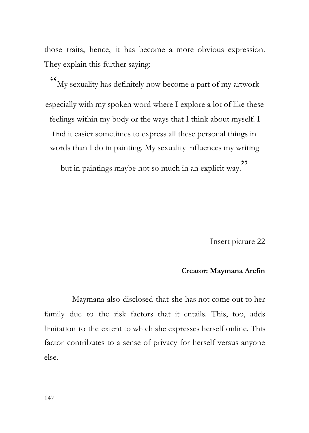those traits; hence, it has become a more obvious expression. They explain this further saying:

" My sexuality has definitely now become a part of my artwork especially with my spoken word where I explore a lot of like these feelings within my body or the ways that I think about myself. I find it easier sometimes to express all these personal things in words than I do in painting. My sexuality influences my writing

but in paintings maybe not so much in an explicit way."

Insert picture 22

#### **Creator: Maymana Arefin**

Maymana also disclosed that she has not come out to her family due to the risk factors that it entails. This, too, adds limitation to the extent to which she expresses herself online. This factor contributes to a sense of privacy for herself versus anyone else.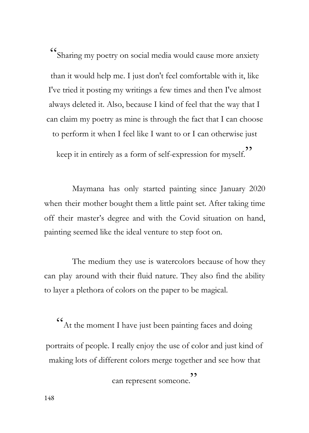$66$ Sharing my poetry on social media would cause more anxiety than it would help me. I just don't feel comfortable with it, like I've tried it posting my writings a few times and then I've almost always deleted it. Also, because I kind of feel that the way that I can claim my poetry as mine is through the fact that I can choose to perform it when I feel like I want to or I can otherwise just

keep it in entirely as <sup>a</sup> form of self-expression for myself."

Maymana has only started painting since January 2020 when their mother bought them a little paint set. After taking time off their master's degree and with the Covid situation on hand, painting seemed like the ideal venture to step foot on.

The medium they use is watercolors because of how they can play around with their fluid nature. They also find the ability to layer a plethora of colors on the paper to be magical.

" At the moment I have just been painting faces and doing portraits of people. I really enjoy the use of color and just kind of making lots of different colors merge together and see how that

can represent someone.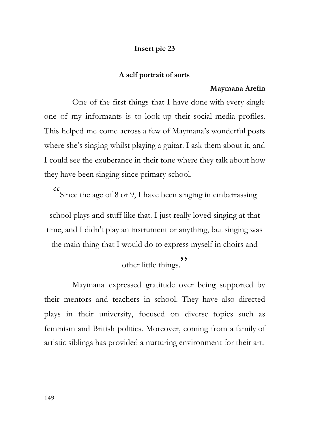#### **Insert pic 23**

#### **A self portrait of sorts**

#### **Maymana Arefin**

One of the first things that I have done with every single one of my informants is to look up their social media profiles. This helped me come across a few of Maymana's wonderful posts where she's singing whilst playing a guitar. I ask them about it, and I could see the exuberance in their tone where they talk about how they have been singing since primary school.

" Since the age of 8 or 9, I have been singing in embarrassing

school plays and stuff like that. I just really loved singing at that time, and I didn't play an instrument or anything, but singing was the main thing that I would do to express myself in choirs and

## other little things."

Maymana expressed gratitude over being supported by their mentors and teachers in school. They have also directed plays in their university, focused on diverse topics such as feminism and British politics. Moreover, coming from a family of artistic siblings has provided a nurturing environment for their art.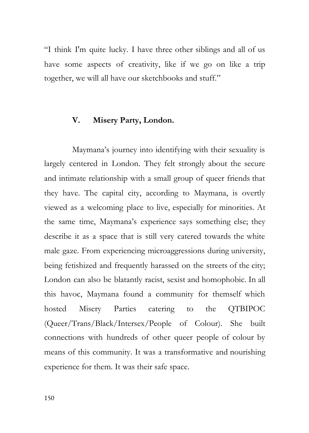"I think I'm quite lucky. I have three other siblings and all of us have some aspects of creativity, like if we go on like a trip together, we will all have our sketchbooks and stuff."

### **V. Misery Party, London.**

Maymana's journey into identifying with their sexuality is largely centered in London. They felt strongly about the secure and intimate relationship with a small group of queer friends that they have. The capital city, according to Maymana, is overtly viewed as a welcoming place to live, especially for minorities. At the same time, Maymana's experience says something else; they describe it as a space that is still very catered towards the white male gaze. From experiencing microaggressions during university, being fetishized and frequently harassed on the streets of the city; London can also be blatantly racist, sexist and homophobic. In all this havoc, Maymana found a community for themself which hosted Misery Parties catering to the QTBIPOC (Queer/Trans/Black/Intersex/People of Colour). She built connections with hundreds of other queer people of colour by means of this community. It was a transformative and nourishing experience for them. It was their safe space.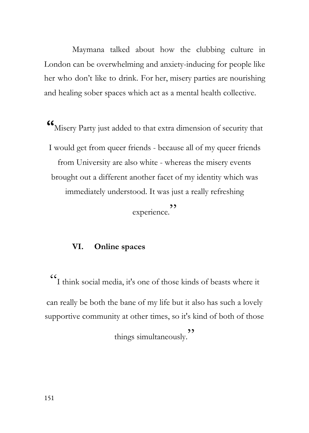Maymana talked about how the clubbing culture in London can be overwhelming and anxiety-inducing for people like her who don't like to drink. For her, misery parties are nourishing and healing sober spaces which act as a mental health collective.

**"**Misery Party just added to that extra dimension of security that I would get from queer friends - because all of my queer friends from University are also white - whereas the misery events brought out a different another facet of my identity which was immediately understood. It was just a really refreshing

experience."

## **VI. Online spaces**

" I think social media, it's one of those kinds of beasts where it can really be both the bane of my life but it also has such a lovely supportive community at other times, so it's kind of both of those

things simultaneously."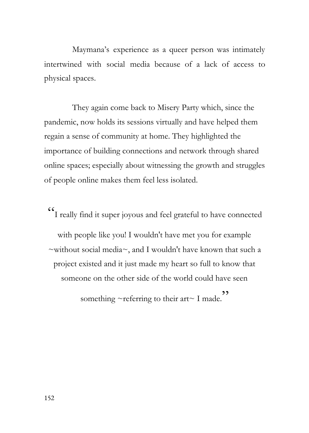Maymana's experience as a queer person was intimately intertwined with social media because of a lack of access to physical spaces.

They again come back to Misery Party which, since the pandemic, now holds its sessions virtually and have helped them regain a sense of community at home. They highlighted the importance of building connections and network through shared online spaces; especially about witnessing the growth and struggles of people online makes them feel less isolated.

" I really find it super joyous and feel grateful to have connected with people like you! I wouldn't have met you for example  $\sim$ without social media $\sim$ , and I wouldn't have known that such a project existed and it just made my heart so full to know that someone on the other side of the world could have seen something  $\sim$ referring to their art $\sim$  I made.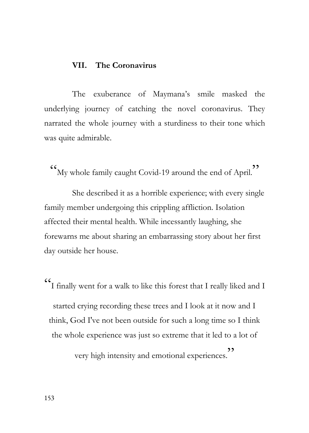### **VII. The Coronavirus**

The exuberance of Maymana's smile masked the underlying journey of catching the novel coronavirus. They narrated the whole journey with a sturdiness to their tone which was quite admirable.

" My whole family caught Covid-19 around the end of April."

She described it as a horrible experience; with every single family member undergoing this crippling affliction. Isolation affected their mental health. While incessantly laughing, she forewarns me about sharing an embarrassing story about her first day outside her house.

" I finally went for a walk to like this forest that I really liked and I started crying recording these trees and I look at it now and I think, God I've not been outside for such a long time so I think the whole experience was just so extreme that it led to a lot of very high intensity and emotional experiences."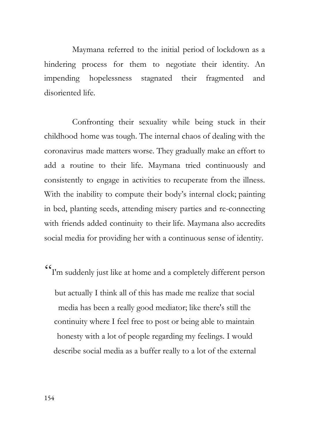Maymana referred to the initial period of lockdown as a hindering process for them to negotiate their identity. An impending hopelessness stagnated their fragmented and disoriented life.

Confronting their sexuality while being stuck in their childhood home was tough. The internal chaos of dealing with the coronavirus made matters worse. They gradually make an effort to add a routine to their life. Maymana tried continuously and consistently to engage in activities to recuperate from the illness. With the inability to compute their body's internal clock; painting in bed, planting seeds, attending misery parties and re-connecting with friends added continuity to their life. Maymana also accredits social media for providing her with a continuous sense of identity.

" I'm suddenly just like at home and a completely different person

but actually I think all of this has made me realize that social media has been a really good mediator; like there's still the continuity where I feel free to post or being able to maintain honesty with a lot of people regarding my feelings. I would describe social media as a buffer really to a lot of the external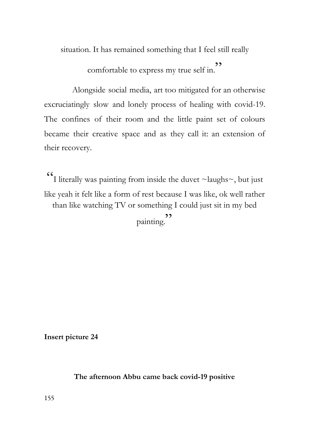situation. It has remained something that I feel still really

comfortable to express my true self in."

Alongside social media, art too mitigated for an otherwise excruciatingly slow and lonely process of healing with covid-19. The confines of their room and the little paint set of colours became their creative space and as they call it: an extension of their recovery.

" I literally was painting from inside the duvet ~laughs~, but just like yeah it felt like a form of rest because I was like, ok well rather than like watching TV or something I could just sit in my bed

painting."

**Insert picture 24**

**The afternoon Abbu came back covid-19 positive**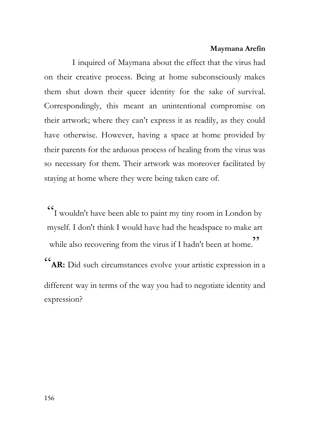#### **Maymana Arefin**

I inquired of Maymana about the effect that the virus had on their creative process. Being at home subconsciously makes them shut down their queer identity for the sake of survival. Correspondingly, this meant an unintentional compromise on their artwork; where they can't express it as readily, as they could have otherwise. However, having a space at home provided by their parents for the arduous process of healing from the virus was so necessary for them. Their artwork was moreover facilitated by staying at home where they were being taken care of.

" I wouldn't have been able to paint my tiny room in London by myself. I don't think I would have had the headspace to make art while also recovering from the virus if I hadn't been at home.

" **AR:** Did such circumstances evolve your artistic expression in a different way in terms of the way you had to negotiate identity and expression?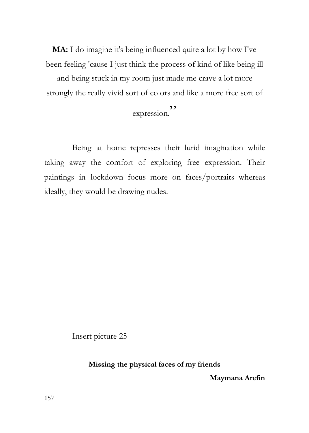**MA:** I do imagine it's being influenced quite a lot by how I've been feeling 'cause I just think the process of kind of like being ill and being stuck in my room just made me crave a lot more strongly the really vivid sort of colors and like a more free sort of

## expression."

Being at home represses their lurid imagination while taking away the comfort of exploring free expression. Their paintings in lockdown focus more on faces/portraits whereas ideally, they would be drawing nudes.

Insert picture 25

**Missing the physical faces of my friends**

**Maymana Arefin**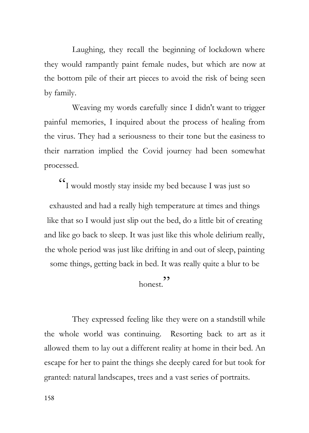Laughing, they recall the beginning of lockdown where they would rampantly paint female nudes, but which are now at the bottom pile of their art pieces to avoid the risk of being seen by family.

Weaving my words carefully since I didn't want to trigger painful memories, I inquired about the process of healing from the virus. They had a seriousness to their tone but the easiness to their narration implied the Covid journey had been somewhat processed.

" I would mostly stay inside my bed because I was just so

exhausted and had a really high temperature at times and things like that so I would just slip out the bed, do a little bit of creating and like go back to sleep. It was just like this whole delirium really, the whole period was just like drifting in and out of sleep, painting some things, getting back in bed. It was really quite a blur to be

honest."

They expressed feeling like they were on a standstill while the whole world was continuing. Resorting back to art as it allowed them to lay out a different reality at home in their bed. An escape for her to paint the things she deeply cared for but took for granted: natural landscapes, trees and a vast series of portraits.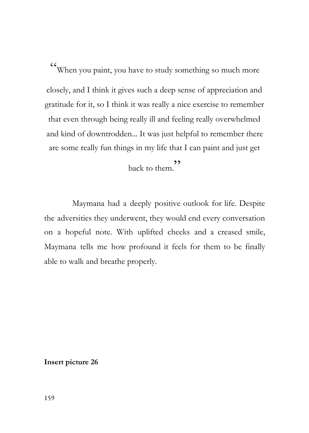" When you paint, you have to study something so much more closely, and I think it gives such a deep sense of appreciation and gratitude for it, so I think it was really a nice exercise to remember that even through being really ill and feeling really overwhelmed and kind of downtrodden... It was just helpful to remember there are some really fun things in my life that I can paint and just get

# back to them."

Maymana had a deeply positive outlook for life. Despite the adversities they underwent, they would end every conversation on a hopeful note. With uplifted cheeks and a creased smile, Maymana tells me how profound it feels for them to be finally able to walk and breathe properly.

## **Insert picture 26**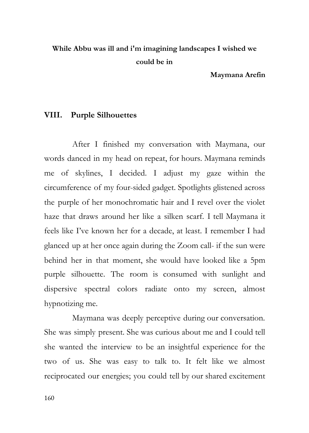## **While Abbu was ill and i'm imagining landscapes I wished we could be in**

**Maymana Arefin**

### **VIII. Purple Silhouettes**

After I finished my conversation with Maymana, our words danced in my head on repeat, for hours. Maymana reminds me of skylines, I decided. I adjust my gaze within the circumference of my four-sided gadget. Spotlights glistened across the purple of her monochromatic hair and I revel over the violet haze that draws around her like a silken scarf. I tell Maymana it feels like I've known her for a decade, at least. I remember I had glanced up at her once again during the Zoom call- if the sun were behind her in that moment, she would have looked like a 5pm purple silhouette. The room is consumed with sunlight and dispersive spectral colors radiate onto my screen, almost hypnotizing me.

Maymana was deeply perceptive during our conversation. She was simply present. She was curious about me and I could tell she wanted the interview to be an insightful experience for the two of us. She was easy to talk to. It felt like we almost reciprocated our energies; you could tell by our shared excitement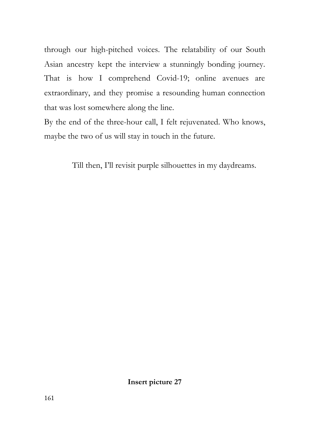through our high-pitched voices. The relatability of our South Asian ancestry kept the interview a stunningly bonding journey. That is how I comprehend Covid-19; online avenues are extraordinary, and they promise a resounding human connection that was lost somewhere along the line.

By the end of the three-hour call, I felt rejuvenated. Who knows, maybe the two of us will stay in touch in the future.

Till then, I'll revisit purple silhouettes in my daydreams.